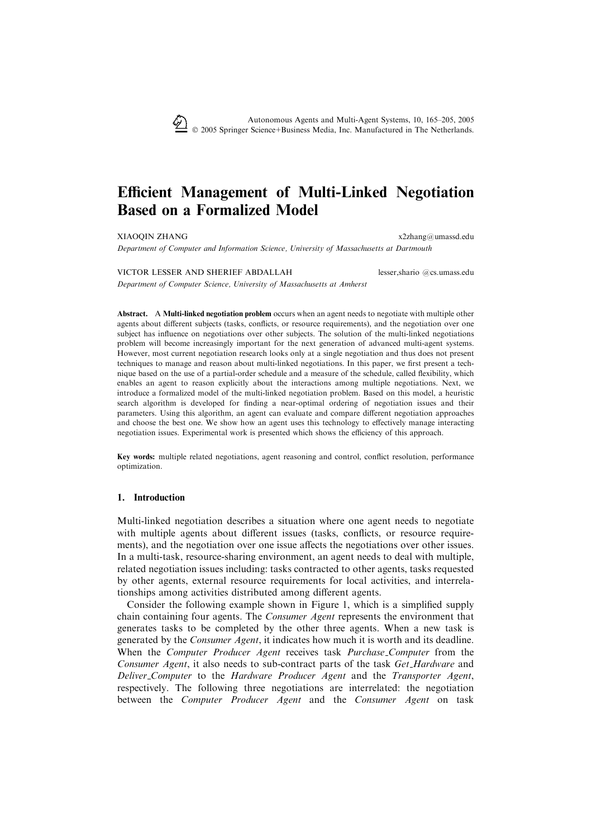# Efficient Management of Multi-Linked Negotiation Based on a Formalized Model

XIAOQIN ZHANG x2zhang@umassd.edu

Department of Computer and Information Science, University of Massachusetts at Dartmouth

VICTOR LESSER AND SHERIEF ABDALLAH lesser shario @cs.umass.edu

Department of Computer Science, University of Massachusetts at Amherst

Abstract. A Multi-linked negotiation problem occurs when an agent needs to negotiate with multiple other agents about different subjects (tasks, conflicts, or resource requirements), and the negotiation over one subject has influence on negotiations over other subjects. The solution of the multi-linked negotiations problem will become increasingly important for the next generation of advanced multi-agent systems. However, most current negotiation research looks only at a single negotiation and thus does not present techniques to manage and reason about multi-linked negotiations. In this paper, we first present a technique based on the use of a partial-order schedule and a measure of the schedule, called flexibility, which enables an agent to reason explicitly about the interactions among multiple negotiations. Next, we introduce a formalized model of the multi-linked negotiation problem. Based on this model, a heuristic search algorithm is developed for finding a near-optimal ordering of negotiation issues and their parameters. Using this algorithm, an agent can evaluate and compare different negotiation approaches and choose the best one. We show how an agent uses this technology to effectively manage interacting negotiation issues. Experimental work is presented which shows the efficiency of this approach.

Key words: multiple related negotiations, agent reasoning and control, conflict resolution, performance optimization.

## 1. Introduction

Multi-linked negotiation describes a situation where one agent needs to negotiate with multiple agents about different issues (tasks, conflicts, or resource requirements), and the negotiation over one issue affects the negotiations over other issues. In a multi-task, resource-sharing environment, an agent needs to deal with multiple, related negotiation issues including: tasks contracted to other agents, tasks requested by other agents, external resource requirements for local activities, and interrelationships among activities distributed among different agents.

Consider the following example shown in Figure 1, which is a simplified supply chain containing four agents. The Consumer Agent represents the environment that generates tasks to be completed by the other three agents. When a new task is generated by the Consumer Agent, it indicates how much it is worth and its deadline. When the Computer Producer Agent receives task Purchase Computer from the Consumer Agent, it also needs to sub-contract parts of the task Get\_Hardware and Deliver Computer to the Hardware Producer Agent and the Transporter Agent, respectively. The following three negotiations are interrelated: the negotiation between the Computer Producer Agent and the Consumer Agent on task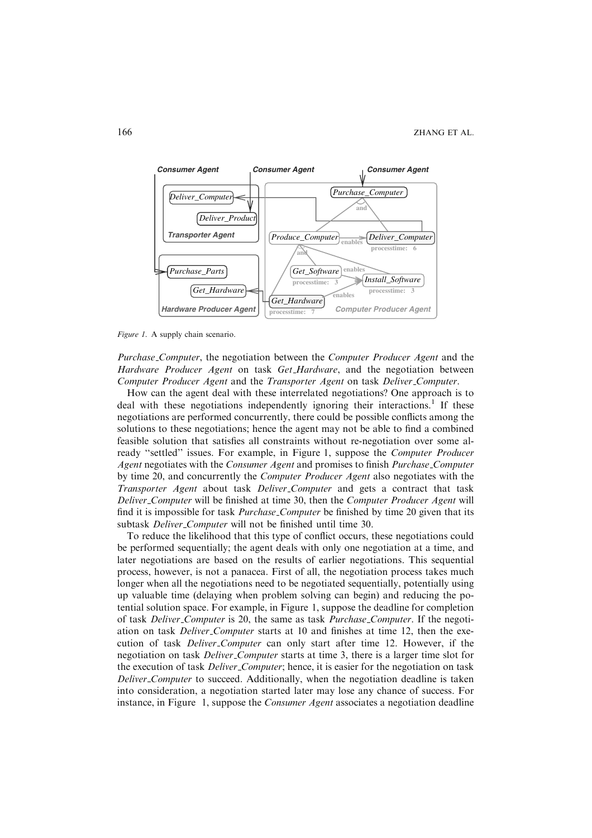

Figure 1. A supply chain scenario.

Purchase Computer, the negotiation between the Computer Producer Agent and the Hardware Producer Agent on task Get\_Hardware, and the negotiation between Computer Producer Agent and the Transporter Agent on task Deliver Computer.

How can the agent deal with these interrelated negotiations? One approach is to deal with these negotiations independently ignoring their interactions.<sup>1</sup> If these negotiations are performed concurrently, there could be possible conflicts among the solutions to these negotiations; hence the agent may not be able to find a combined feasible solution that satisfies all constraints without re-negotiation over some already ''settled'' issues. For example, in Figure 1, suppose the Computer Producer Agent negotiates with the Consumer Agent and promises to finish Purchase Computer by time 20, and concurrently the Computer Producer Agent also negotiates with the Transporter Agent about task Deliver Computer and gets a contract that task Deliver\_Computer will be finished at time 30, then the Computer Producer Agent will find it is impossible for task Purchase Computer be finished by time 20 given that its subtask *Deliver\_Computer* will not be finished until time 30.

To reduce the likelihood that this type of conflict occurs, these negotiations could be performed sequentially; the agent deals with only one negotiation at a time, and later negotiations are based on the results of earlier negotiations. This sequential process, however, is not a panacea. First of all, the negotiation process takes much longer when all the negotiations need to be negotiated sequentially, potentially using up valuable time (delaying when problem solving can begin) and reducing the potential solution space. For example, in Figure 1, suppose the deadline for completion of task Deliver Computer is 20, the same as task Purchase Computer. If the negotiation on task Deliver Computer starts at 10 and finishes at time 12, then the execution of task Deliver Computer can only start after time 12. However, if the negotiation on task Deliver Computer starts at time 3, there is a larger time slot for the execution of task *Deliver\_Computer*; hence, it is easier for the negotiation on task Deliver\_Computer to succeed. Additionally, when the negotiation deadline is taken into consideration, a negotiation started later may lose any chance of success. For instance, in Figure 1, suppose the Consumer Agent associates a negotiation deadline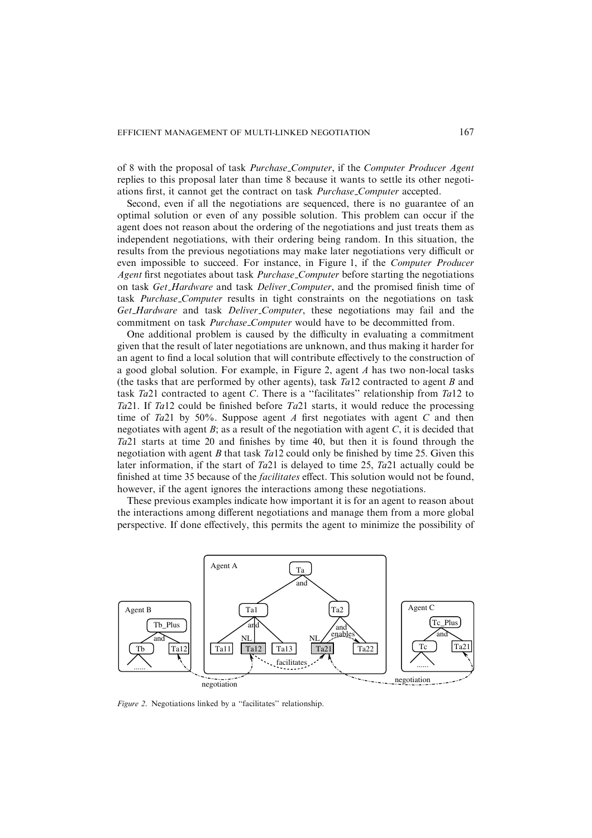of 8 with the proposal of task Purchase Computer, if the Computer Producer Agent replies to this proposal later than time 8 because it wants to settle its other negotiations first, it cannot get the contract on task Purchase Computer accepted.

Second, even if all the negotiations are sequenced, there is no guarantee of an optimal solution or even of any possible solution. This problem can occur if the agent does not reason about the ordering of the negotiations and just treats them as independent negotiations, with their ordering being random. In this situation, the results from the previous negotiations may make later negotiations very difficult or even impossible to succeed. For instance, in Figure 1, if the Computer Producer Agent first negotiates about task Purchase Computer before starting the negotiations on task Get Hardware and task Deliver Computer, and the promised finish time of task Purchase Computer results in tight constraints on the negotiations on task Get Hardware and task Deliver Computer, these negotiations may fail and the commitment on task Purchase Computer would have to be decommitted from.

One additional problem is caused by the difficulty in evaluating a commitment given that the result of later negotiations are unknown, and thus making it harder for an agent to find a local solution that will contribute effectively to the construction of a good global solution. For example, in Figure 2, agent A has two non-local tasks (the tasks that are performed by other agents), task  $Ta12$  contracted to agent B and task Ta21 contracted to agent C. There is a "facilitates" relationship from Ta12 to Ta21. If Ta12 could be finished before  $Ta21$  starts, it would reduce the processing time of Ta21 by 50%. Suppose agent A first negotiates with agent C and then negotiates with agent  $B$ ; as a result of the negotiation with agent  $C$ , it is decided that Ta21 starts at time 20 and finishes by time 40, but then it is found through the negotiation with agent B that task  $Ta12$  could only be finished by time 25. Given this later information, if the start of  $Ta21$  is delayed to time 25,  $Ta21$  actually could be finished at time 35 because of the *facilitates* effect. This solution would not be found, however, if the agent ignores the interactions among these negotiations.

These previous examples indicate how important it is for an agent to reason about the interactions among different negotiations and manage them from a more global perspective. If done effectively, this permits the agent to minimize the possibility of



Figure 2. Negotiations linked by a ''facilitates'' relationship.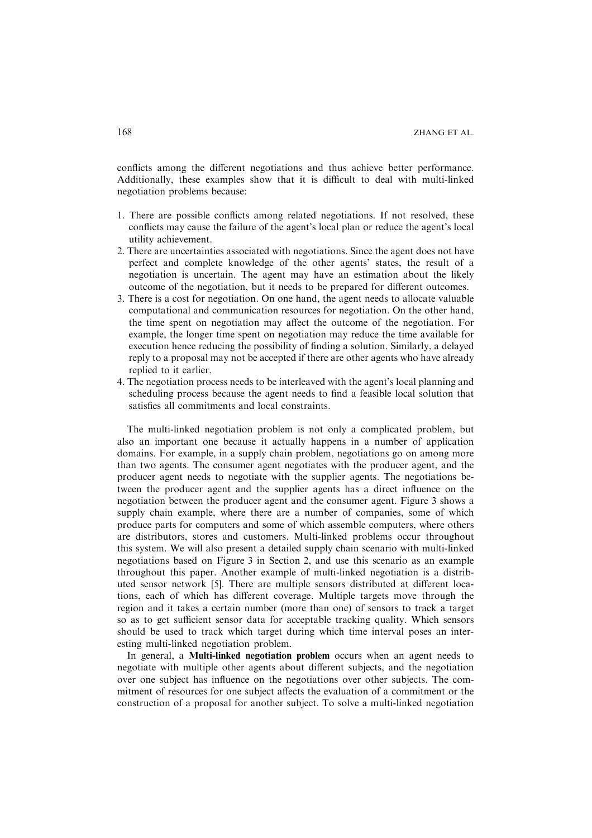conflicts among the different negotiations and thus achieve better performance. Additionally, these examples show that it is difficult to deal with multi-linked negotiation problems because:

- 1. There are possible conflicts among related negotiations. If not resolved, these conflicts may cause the failure of the agent's local plan or reduce the agent's local utility achievement.
- 2. There are uncertainties associated with negotiations. Since the agent does not have perfect and complete knowledge of the other agents' states, the result of a negotiation is uncertain. The agent may have an estimation about the likely outcome of the negotiation, but it needs to be prepared for different outcomes.
- 3. There is a cost for negotiation. On one hand, the agent needs to allocate valuable computational and communication resources for negotiation. On the other hand, the time spent on negotiation may affect the outcome of the negotiation. For example, the longer time spent on negotiation may reduce the time available for execution hence reducing the possibility of finding a solution. Similarly, a delayed reply to a proposal may not be accepted if there are other agents who have already replied to it earlier.
- 4. The negotiation process needs to be interleaved with the agent's local planning and scheduling process because the agent needs to find a feasible local solution that satisfies all commitments and local constraints.

The multi-linked negotiation problem is not only a complicated problem, but also an important one because it actually happens in a number of application domains. For example, in a supply chain problem, negotiations go on among more than two agents. The consumer agent negotiates with the producer agent, and the producer agent needs to negotiate with the supplier agents. The negotiations between the producer agent and the supplier agents has a direct influence on the negotiation between the producer agent and the consumer agent. Figure 3 shows a supply chain example, where there are a number of companies, some of which produce parts for computers and some of which assemble computers, where others are distributors, stores and customers. Multi-linked problems occur throughout this system. We will also present a detailed supply chain scenario with multi-linked negotiations based on Figure 3 in Section 2, and use this scenario as an example throughout this paper. Another example of multi-linked negotiation is a distributed sensor network [5]. There are multiple sensors distributed at different locations, each of which has different coverage. Multiple targets move through the region and it takes a certain number (more than one) of sensors to track a target so as to get sufficient sensor data for acceptable tracking quality. Which sensors should be used to track which target during which time interval poses an interesting multi-linked negotiation problem.

In general, a Multi-linked negotiation problem occurs when an agent needs to negotiate with multiple other agents about different subjects, and the negotiation over one subject has influence on the negotiations over other subjects. The commitment of resources for one subject affects the evaluation of a commitment or the construction of a proposal for another subject. To solve a multi-linked negotiation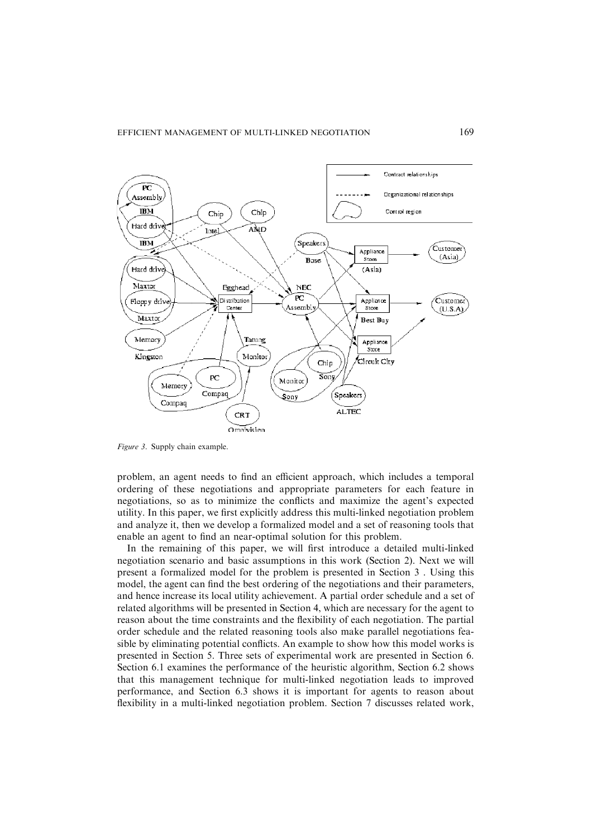

Figure 3. Supply chain example.

problem, an agent needs to find an efficient approach, which includes a temporal ordering of these negotiations and appropriate parameters for each feature in negotiations, so as to minimize the conflicts and maximize the agent's expected utility. In this paper, we first explicitly address this multi-linked negotiation problem and analyze it, then we develop a formalized model and a set of reasoning tools that enable an agent to find an near-optimal solution for this problem.

In the remaining of this paper, we will first introduce a detailed multi-linked negotiation scenario and basic assumptions in this work (Section 2). Next we will present a formalized model for the problem is presented in Section 3 . Using this model, the agent can find the best ordering of the negotiations and their parameters, and hence increase its local utility achievement. A partial order schedule and a set of related algorithms will be presented in Section 4, which are necessary for the agent to reason about the time constraints and the flexibility of each negotiation. The partial order schedule and the related reasoning tools also make parallel negotiations feasible by eliminating potential conflicts. An example to show how this model works is presented in Section 5. Three sets of experimental work are presented in Section 6. Section 6.1 examines the performance of the heuristic algorithm, Section 6.2 shows that this management technique for multi-linked negotiation leads to improved performance, and Section 6.3 shows it is important for agents to reason about flexibility in a multi-linked negotiation problem. Section 7 discusses related work,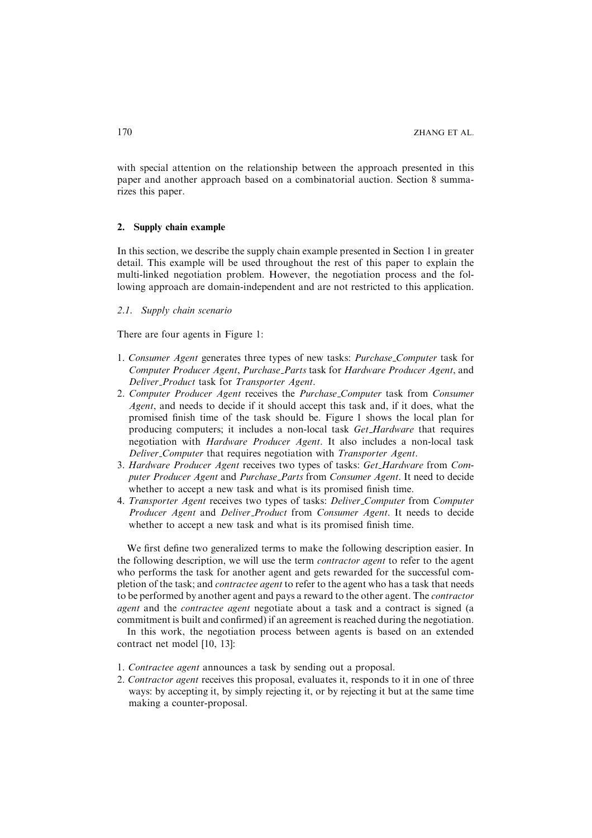with special attention on the relationship between the approach presented in this paper and another approach based on a combinatorial auction. Section 8 summarizes this paper.

### 2. Supply chain example

In this section, we describe the supply chain example presented in Section 1 in greater detail. This example will be used throughout the rest of this paper to explain the multi-linked negotiation problem. However, the negotiation process and the following approach are domain-independent and are not restricted to this application.

### 2.1. Supply chain scenario

There are four agents in Figure 1:

- 1. Consumer Agent generates three types of new tasks: Purchase Computer task for Computer Producer Agent, Purchase Parts task for Hardware Producer Agent, and Deliver Product task for Transporter Agent.
- 2. Computer Producer Agent receives the Purchase Computer task from Consumer Agent, and needs to decide if it should accept this task and, if it does, what the promised finish time of the task should be. Figure 1 shows the local plan for producing computers; it includes a non-local task Get Hardware that requires negotiation with Hardware Producer Agent. It also includes a non-local task Deliver Computer that requires negotiation with Transporter Agent.
- 3. Hardware Producer Agent receives two types of tasks: Get Hardware from Computer Producer Agent and Purchase\_Parts from Consumer Agent. It need to decide whether to accept a new task and what is its promised finish time.
- 4. Transporter Agent receives two types of tasks: Deliver\_Computer from Computer Producer Agent and Deliver\_Product from Consumer Agent. It needs to decide whether to accept a new task and what is its promised finish time.

We first define two generalized terms to make the following description easier. In the following description, we will use the term contractor agent to refer to the agent who performs the task for another agent and gets rewarded for the successful completion of the task; and contractee agent to refer to the agent who has a task that needs to be performed by another agent and pays a reward to the other agent. The contractor agent and the contractee agent negotiate about a task and a contract is signed (a commitment is built and confirmed) if an agreement is reached during the negotiation.

In this work, the negotiation process between agents is based on an extended contract net model [10, 13]:

- 1. Contractee agent announces a task by sending out a proposal.
- 2. Contractor agent receives this proposal, evaluates it, responds to it in one of three ways: by accepting it, by simply rejecting it, or by rejecting it but at the same time making a counter-proposal.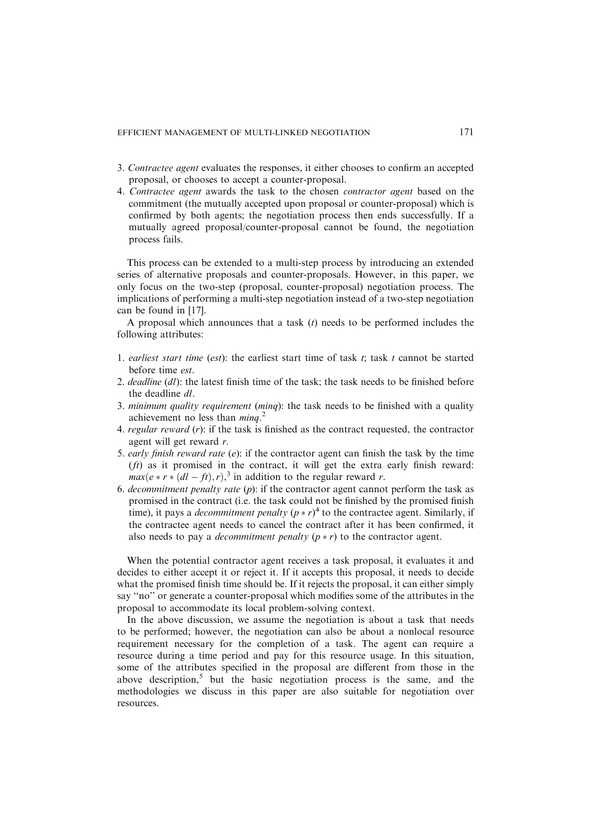- 3. Contractee agent evaluates the responses, it either chooses to confirm an accepted proposal, or chooses to accept a counter-proposal.
- 4. Contractee agent awards the task to the chosen contractor agent based on the commitment (the mutually accepted upon proposal or counter-proposal) which is confirmed by both agents; the negotiation process then ends successfully. If a mutually agreed proposal/counter-proposal cannot be found, the negotiation process fails.

This process can be extended to a multi-step process by introducing an extended series of alternative proposals and counter-proposals. However, in this paper, we only focus on the two-step (proposal, counter-proposal) negotiation process. The implications of performing a multi-step negotiation instead of a two-step negotiation can be found in [17].

A proposal which announces that a task  $(t)$  needs to be performed includes the following attributes:

- 1. earliest start time (est): the earliest start time of task t; task t cannot be started before time est.
- 2. deadline (dl): the latest finish time of the task; the task needs to be finished before the deadline dl.
- 3. minimum quality requirement (minq): the task needs to be finished with a quality achievement no less than  $minq$ <sup>2</sup>
- 4. regular reward  $(r)$ : if the task is finished as the contract requested, the contractor agent will get reward r.
- 5. early finish reward rate (e): if the contractor agent can finish the task by the time  $(ft)$  as it promised in the contract, it will get the extra early finish reward:  $max(e * r * (dl - ft), r),^3$  in addition to the regular reward r.
- 6. decommitment penalty rate (p): if the contractor agent cannot perform the task as promised in the contract (i.e. the task could not be finished by the promised finish time), it pays a *decommitment penalty*  $(p * r)^4$  to the contractee agent. Similarly, if the contractee agent needs to cancel the contract after it has been confirmed, it also needs to pay a *decommitment penalty*  $(p * r)$  to the contractor agent.

When the potential contractor agent receives a task proposal, it evaluates it and decides to either accept it or reject it. If it accepts this proposal, it needs to decide what the promised finish time should be. If it rejects the proposal, it can either simply say ''no'' or generate a counter-proposal which modifies some of the attributes in the proposal to accommodate its local problem-solving context.

In the above discussion, we assume the negotiation is about a task that needs to be performed; however, the negotiation can also be about a nonlocal resource requirement necessary for the completion of a task. The agent can require a resource during a time period and pay for this resource usage. In this situation, some of the attributes specified in the proposal are different from those in the above description, $5$  but the basic negotiation process is the same, and the methodologies we discuss in this paper are also suitable for negotiation over resources.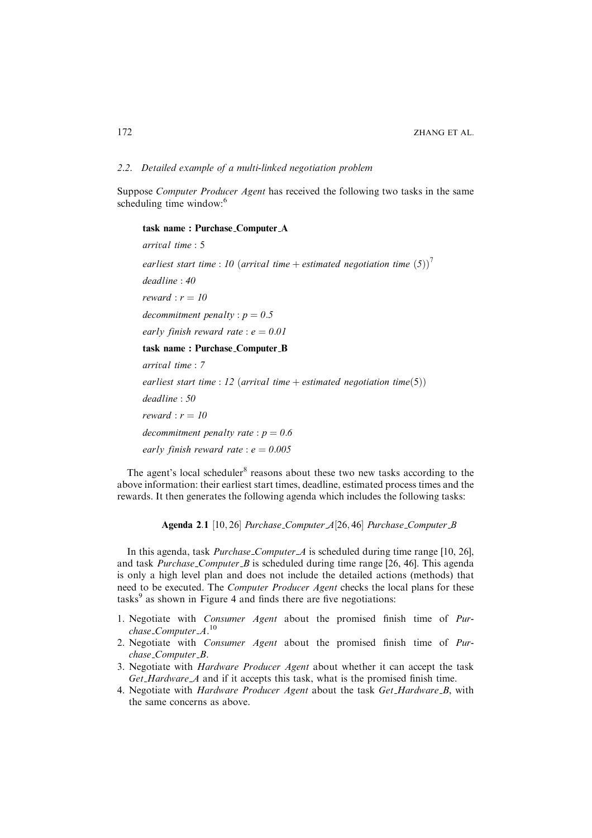# 2.2. Detailed example of a multi-linked negotiation problem

Suppose Computer Producer Agent has received the following two tasks in the same scheduling time window:<sup>6</sup>

# task name : Purchase Computer A

arrival time : 5 earliest start time : 10 (arrival time  $+$  estimated negotiation time  $(5)^{7}$ deadline : 40 reward :  $r = 10$ decommitment penalty :  $p = 0.5$ early finish reward rate :  $e = 0.01$ task name : Purchase Computer B arrival time : 7 earliest start time : 12 (arrival time  $+$  estimated negotiation time(5)) deadline : 50 reward :  $r = 10$ decommitment penalty rate :  $p = 0.6$ early finish reward rate :  $e = 0.005$ 

The agent's local scheduler<sup>8</sup> reasons about these two new tasks according to the above information: their earliest start times, deadline, estimated process times and the rewards. It then generates the following agenda which includes the following tasks:

Agenda 2.1  $[10, 26]$  Purchase Computer  $A[26, 46]$  Purchase Computer B

In this agenda, task Purchase Computer A is scheduled during time range [10, 26], and task *Purchase\_Computer B* is scheduled during time range  $[26, 46]$ . This agenda is only a high level plan and does not include the detailed actions (methods) that need to be executed. The Computer Producer Agent checks the local plans for these  $t$ asks<sup>9</sup> as shown in Figure 4 and finds there are five negotiations:

- 1. Negotiate with Consumer Agent about the promised finish time of Purchase Computer A. 10
- 2. Negotiate with Consumer Agent about the promised finish time of Purchase\_Computer\_B.
- 3. Negotiate with Hardware Producer Agent about whether it can accept the task Get Hardware A and if it accepts this task, what is the promised finish time.
- 4. Negotiate with Hardware Producer Agent about the task Get Hardware B, with the same concerns as above.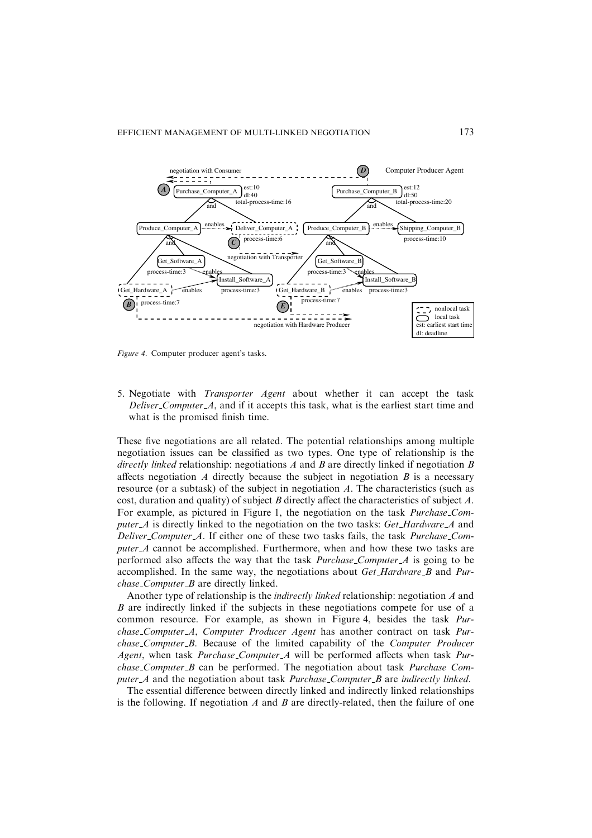

Figure 4. Computer producer agent's tasks.

5. Negotiate with Transporter Agent about whether it can accept the task Deliver Computer A, and if it accepts this task, what is the earliest start time and what is the promised finish time.

These five negotiations are all related. The potential relationships among multiple negotiation issues can be classified as two types. One type of relationship is the directly linked relationship: negotiations  $A$  and  $B$  are directly linked if negotiation  $B$ affects negotiation A directly because the subject in negotiation  $B$  is a necessary resource (or a subtask) of the subject in negotiation A. The characteristics (such as cost, duration and quality) of subject B directly affect the characteristics of subject A. For example, as pictured in Figure 1, the negotiation on the task Purchase Computer  $A$  is directly linked to the negotiation on the two tasks: Get Hardware  $A$  and Deliver\_Computer\_A. If either one of these two tasks fails, the task *Purchase\_Com*puter\_A cannot be accomplished. Furthermore, when and how these two tasks are performed also affects the way that the task Purchase Computer A is going to be accomplished. In the same way, the negotiations about  $Get. Hardware \_B$  and Purchase\_Computer\_B are directly linked.

Another type of relationship is the indirectly linked relationship: negotiation A and B are indirectly linked if the subjects in these negotiations compete for use of a common resource. For example, as shown in Figure 4, besides the task Purchase Computer A, Computer Producer Agent has another contract on task Purchase Computer B. Because of the limited capability of the Computer Producer Agent, when task Purchase\_Computer\_A will be performed affects when task Pur*chase Computer B* can be performed. The negotiation about task *Purchase Com*puter\_A and the negotiation about task *Purchase\_Computer\_B* are *indirectly linked.* 

The essential difference between directly linked and indirectly linked relationships is the following. If negotiation  $A$  and  $B$  are directly-related, then the failure of one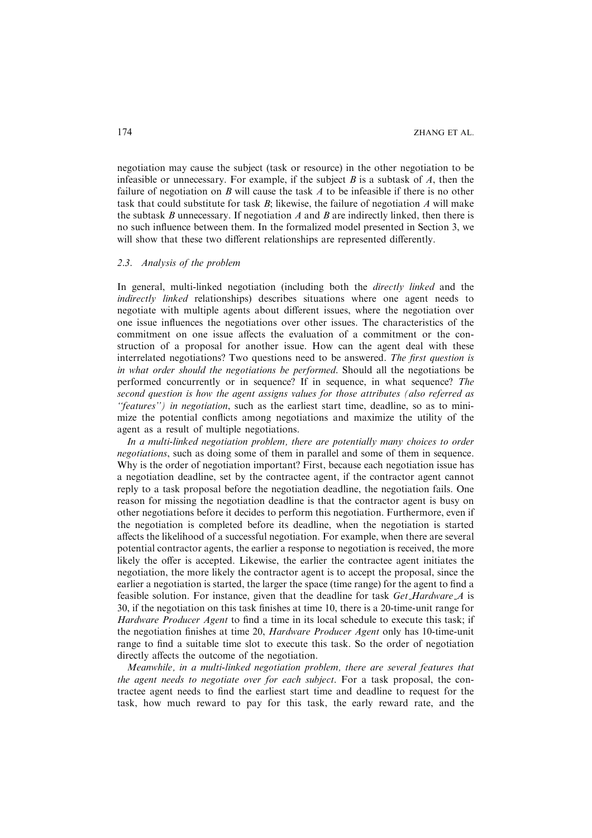negotiation may cause the subject (task or resource) in the other negotiation to be infeasible or unnecessary. For example, if the subject  $B$  is a subtask of  $A$ , then the failure of negotiation on  $B$  will cause the task  $A$  to be infeasible if there is no other task that could substitute for task B; likewise, the failure of negotiation A will make the subtask B unnecessary. If negotiation A and B are indirectly linked, then there is no such influence between them. In the formalized model presented in Section 3, we will show that these two different relationships are represented differently.

# 2.3. Analysis of the problem

In general, multi-linked negotiation (including both the directly linked and the indirectly linked relationships) describes situations where one agent needs to negotiate with multiple agents about different issues, where the negotiation over one issue influences the negotiations over other issues. The characteristics of the commitment on one issue affects the evaluation of a commitment or the construction of a proposal for another issue. How can the agent deal with these interrelated negotiations? Two questions need to be answered. The first question is in what order should the negotiations be performed. Should all the negotiations be performed concurrently or in sequence? If in sequence, in what sequence? The second question is how the agent assigns values for those attributes (also referred as ''features'') in negotiation, such as the earliest start time, deadline, so as to minimize the potential conflicts among negotiations and maximize the utility of the agent as a result of multiple negotiations.

In a multi-linked negotiation problem, there are potentially many choices to order negotiations, such as doing some of them in parallel and some of them in sequence. Why is the order of negotiation important? First, because each negotiation issue has a negotiation deadline, set by the contractee agent, if the contractor agent cannot reply to a task proposal before the negotiation deadline, the negotiation fails. One reason for missing the negotiation deadline is that the contractor agent is busy on other negotiations before it decides to perform this negotiation. Furthermore, even if the negotiation is completed before its deadline, when the negotiation is started affects the likelihood of a successful negotiation. For example, when there are several potential contractor agents, the earlier a response to negotiation is received, the more likely the offer is accepted. Likewise, the earlier the contractee agent initiates the negotiation, the more likely the contractor agent is to accept the proposal, since the earlier a negotiation is started, the larger the space (time range) for the agent to find a feasible solution. For instance, given that the deadline for task Get\_Hardware\_A is 30, if the negotiation on this task finishes at time 10, there is a 20-time-unit range for Hardware Producer Agent to find a time in its local schedule to execute this task; if the negotiation finishes at time 20, Hardware Producer Agent only has 10-time-unit range to find a suitable time slot to execute this task. So the order of negotiation directly affects the outcome of the negotiation.

Meanwhile, in a multi-linked negotiation problem, there are several features that the agent needs to negotiate over for each subject. For a task proposal, the contractee agent needs to find the earliest start time and deadline to request for the task, how much reward to pay for this task, the early reward rate, and the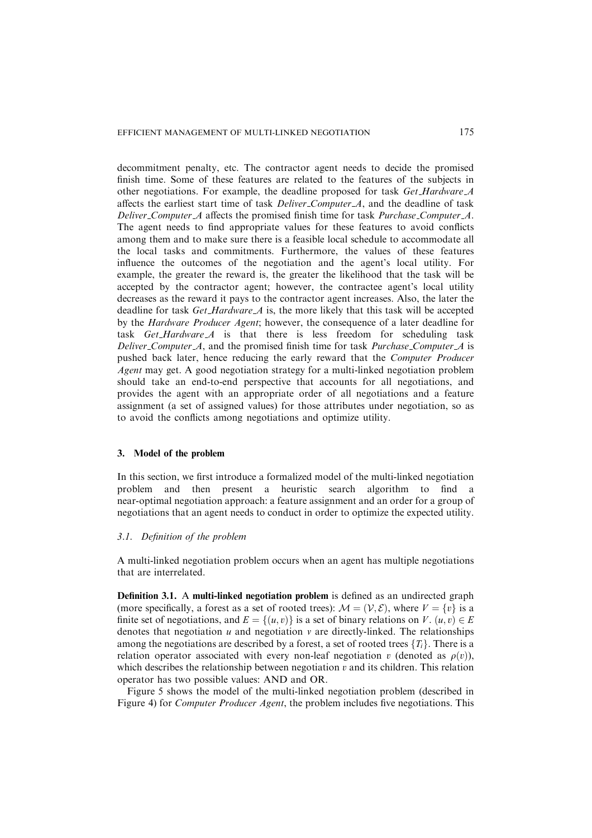decommitment penalty, etc. The contractor agent needs to decide the promised finish time. Some of these features are related to the features of the subjects in other negotiations. For example, the deadline proposed for task Get Hardware A affects the earliest start time of task Deliver Computer A, and the deadline of task Deliver\_Computer\_A affects the promised finish time for task *Purchase\_Computer\_A*. The agent needs to find appropriate values for these features to avoid conflicts among them and to make sure there is a feasible local schedule to accommodate all the local tasks and commitments. Furthermore, the values of these features influence the outcomes of the negotiation and the agent's local utility. For example, the greater the reward is, the greater the likelihood that the task will be accepted by the contractor agent; however, the contractee agent's local utility decreases as the reward it pays to the contractor agent increases. Also, the later the deadline for task  $Get\_Hardware\_A$  is, the more likely that this task will be accepted by the Hardware Producer Agent; however, the consequence of a later deadline for task Get Hardware A is that there is less freedom for scheduling task Deliver\_Computer\_A, and the promised finish time for task *Purchase\_Computer\_A* is pushed back later, hence reducing the early reward that the Computer Producer Agent may get. A good negotiation strategy for a multi-linked negotiation problem should take an end-to-end perspective that accounts for all negotiations, and provides the agent with an appropriate order of all negotiations and a feature assignment (a set of assigned values) for those attributes under negotiation, so as to avoid the conflicts among negotiations and optimize utility.

# 3. Model of the problem

In this section, we first introduce a formalized model of the multi-linked negotiation problem and then present a heuristic search algorithm to find a near-optimal negotiation approach: a feature assignment and an order for a group of negotiations that an agent needs to conduct in order to optimize the expected utility.

### 3.1. Definition of the problem

A multi-linked negotiation problem occurs when an agent has multiple negotiations that are interrelated.

Definition 3.1. A multi-linked negotiation problem is defined as an undirected graph (more specifically, a forest as a set of rooted trees):  $M = (V, \mathcal{E})$ , where  $V = \{v\}$  is a finite set of negotiations, and  $E = \{(u, v)\}\$ is a set of binary relations on V.  $(u, v) \in E$ denotes that negotiation  $u$  and negotiation  $v$  are directly-linked. The relationships among the negotiations are described by a forest, a set of rooted trees  $\{T_i\}$ . There is a relation operator associated with every non-leaf negotiation v (denoted as  $\rho(v)$ ), which describes the relationship between negotiation  $v$  and its children. This relation operator has two possible values: AND and OR.

Figure 5 shows the model of the multi-linked negotiation problem (described in Figure 4) for *Computer Producer Agent*, the problem includes five negotiations. This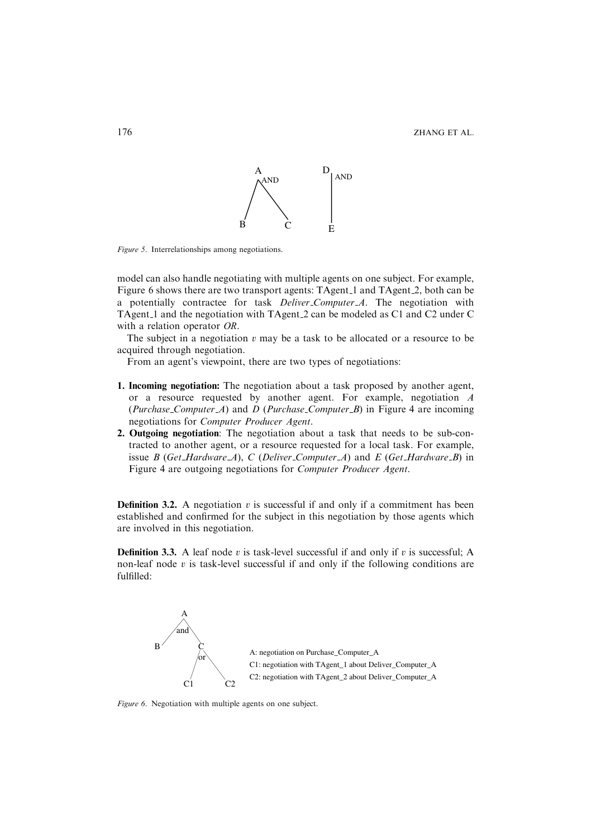

Figure 5. Interrelationships among negotiations.

model can also handle negotiating with multiple agents on one subject. For example, Figure 6 shows there are two transport agents: TAgent\_1 and TAgent\_2, both can be a potentially contractee for task Deliver Computer A. The negotiation with TAgent 1 and the negotiation with TAgent 2 can be modeled as C1 and C2 under C with a relation operator *OR*.

The subject in a negotiation  $v$  may be a task to be allocated or a resource to be acquired through negotiation.

From an agent's viewpoint, there are two types of negotiations:

- 1. Incoming negotiation: The negotiation about a task proposed by another agent, or a resource requested by another agent. For example, negotiation A (Purchase Computer  $A$ ) and  $D$  (Purchase Computer  $B$ ) in Figure 4 are incoming negotiations for Computer Producer Agent.
- 2. Outgoing negotiation: The negotiation about a task that needs to be sub-contracted to another agent, or a resource requested for a local task. For example, issue B (Get\_Hardware\_A), C (Deliver\_Computer\_A) and E (Get\_Hardware\_B) in Figure 4 are outgoing negotiations for Computer Producer Agent.

**Definition 3.2.** A negotiation  $v$  is successful if and only if a commitment has been established and confirmed for the subject in this negotiation by those agents which are involved in this negotiation.

**Definition 3.3.** A leaf node v is task-level successful if and only if v is successful; A non-leaf node  $v$  is task-level successful if and only if the following conditions are fulfilled:



C2: negotiation with TAgent\_2 about Deliver\_Computer\_A C1: negotiation with TAgent\_1 about Deliver\_Computer\_A A: negotiation on Purchase\_Computer\_A

Figure 6. Negotiation with multiple agents on one subject.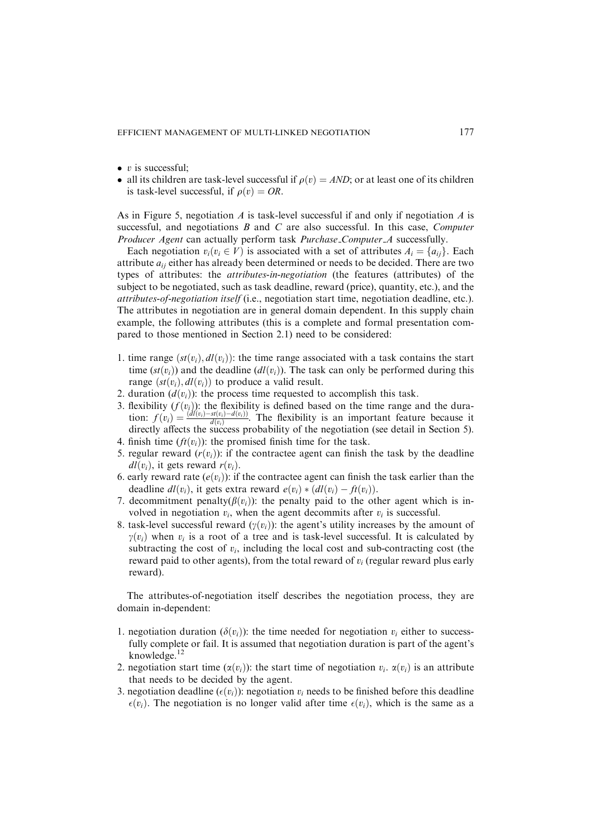- $\bullet$  v is successful:
- all its children are task-level successful if  $\rho(v) = AND$ ; or at least one of its children is task-level successful, if  $\rho(v) = OR$ .

As in Figure 5, negotiation A is task-level successful if and only if negotiation A is successful, and negotiations  $B$  and  $C$  are also successful. In this case, Computer Producer Agent can actually perform task Purchase Computer A successfully.

Each negotiation  $v_i(v_i \in V)$  is associated with a set of attributes  $A_i = \{a_{ij}\}\$ . Each attribute  $a_{ij}$  either has already been determined or needs to be decided. There are two types of attributes: the attributes-in-negotiation (the features (attributes) of the subject to be negotiated, such as task deadline, reward (price), quantity, etc.), and the attributes-of-negotiation itself (i.e., negotiation start time, negotiation deadline, etc.). The attributes in negotiation are in general domain dependent. In this supply chain example, the following attributes (this is a complete and formal presentation compared to those mentioned in Section 2.1) need to be considered:

- 1. time range  $(st(v_i), dl(v_i))$ : the time range associated with a task contains the start time (st(v<sub>i</sub>)) and the deadline (dl(v<sub>i</sub>)). The task can only be performed during this range  $(st(v_i), dl(v_i))$  to produce a valid result.
- 2. duration  $(d(v_i))$ : the process time requested to accomplish this task.
- 3. flexibility  $(f(v_i))$ : the flexibility is defined based on the time range and the duration:  $f(v_i) = \frac{dI(v_i) - s(v_i) - d(v_i)}{d(v_i)}$ . The flexibility is an important feature because it directly affects the success probability of the negotiation (see detail in Section 5). directly affects the success probability of the negotiation (see detail in Section 5). 4. finish time  $(f<sup>t</sup>(v<sub>i</sub>))$ : the promised finish time for the task.
- 5. regular reward  $(r(v_i))$ : if the contractee agent can finish the task by the deadline  $dl(v_i)$ , it gets reward  $r(v_i)$ .
- 6. early reward rate  $(e(v_i))$ : if the contractee agent can finish the task earlier than the deadline  $dl(v_i)$ , it gets extra reward  $e(v_i) * (dl(v_i) - ft(v_i))$ .<br>decommitment penalty  $B(v_i)$ ): the penalty paid to the other
- 7. decommitment penalty( $\beta(v_i)$ ): the penalty paid to the other agent which is involved in negotiation  $v_i$ , when the agent decommits after  $v_i$  is successful.
- 8. task-level successful reward  $(\gamma(v_i))$ : the agent's utility increases by the amount of  $v(v_i)$  when  $v_i$  is a root of a tree and is task-level successful. It is calculated by subtracting the cost of  $v_i$ , including the local cost and sub-contracting cost (the reward paid to other agents), from the total reward of  $v_i$  (regular reward plus early reward).

The attributes-of-negotiation itself describes the negotiation process, they are domain in-dependent:

- 1. negotiation duration ( $\delta(v_i)$ ): the time needed for negotiation  $v_i$  either to successfully complete or fail. It is assumed that negotiation duration is part of the agent's knowledge.<sup>12</sup>
- 2. negotiation start time ( $\alpha(v_i)$ ): the start time of negotiation  $v_i$ .  $\alpha(v_i)$  is an attribute that needs to be decided by the agent.
- 3. negotiation deadline ( $\epsilon(v_i)$ ): negotiation  $v_i$  needs to be finished before this deadline  $\epsilon(v_i)$ . The negotiation is no longer valid after time  $\epsilon(v_i)$ , which is the same as a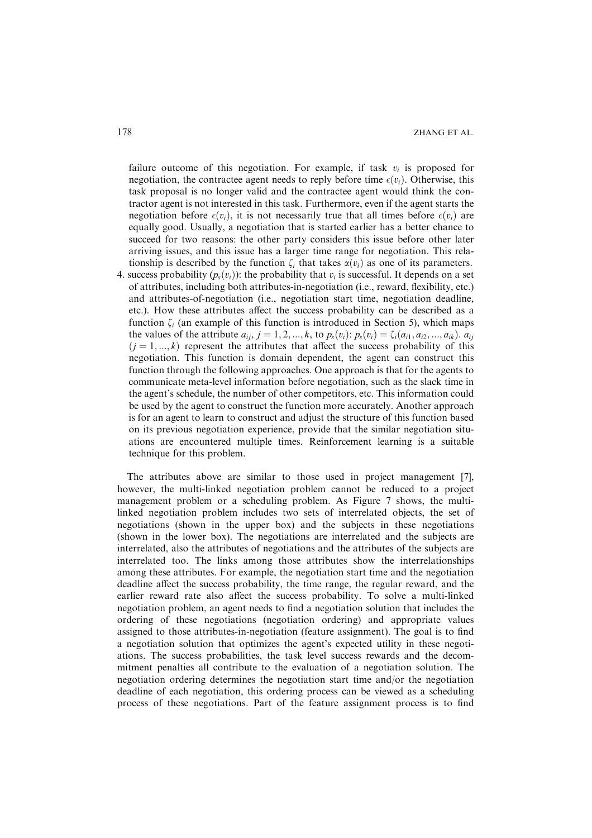failure outcome of this negotiation. For example, if task  $v_i$  is proposed for negotiation, the contractee agent needs to reply before time  $\epsilon(v_i)$ . Otherwise, this task proposal is no longer valid and the contractee agent would think the contractor agent is not interested in this task. Furthermore, even if the agent starts the negotiation before  $\epsilon(v_i)$ , it is not necessarily true that all times before  $\epsilon(v_i)$  are equally good. Usually, a negotiation that is started earlier has a better chance to succeed for two reasons: the other party considers this issue before other later arriving issues, and this issue has a larger time range for negotiation. This relationship is described by the function  $\zeta_i$  that takes  $\alpha(v_i)$  as one of its parameters.

4. success probability  $(p_s(v_i))$ : the probability that  $v_i$  is successful. It depends on a set of attributes, including both attributes-in-negotiation (i.e., reward, flexibility, etc.) and attributes-of-negotiation (i.e., negotiation start time, negotiation deadline, etc.). How these attributes affect the success probability can be described as a function  $\zeta_i$  (an example of this function is introduced in Section 5), which maps the values of the attribute  $a_{ii}$ ,  $j = 1, 2, ..., k$ , to  $p_s(v_i)$ :  $p_s(v_i) = \zeta_i(a_{i1}, a_{i2}, ..., a_{ik})$ .  $a_{ii}$  $(j = 1, ..., k)$  represent the attributes that affect the success probability of this negotiation. This function is domain dependent, the agent can construct this function through the following approaches. One approach is that for the agents to communicate meta-level information before negotiation, such as the slack time in the agent's schedule, the number of other competitors, etc. This information could be used by the agent to construct the function more accurately. Another approach is for an agent to learn to construct and adjust the structure of this function based on its previous negotiation experience, provide that the similar negotiation situations are encountered multiple times. Reinforcement learning is a suitable technique for this problem.

The attributes above are similar to those used in project management [7], however, the multi-linked negotiation problem cannot be reduced to a project management problem or a scheduling problem. As Figure 7 shows, the multilinked negotiation problem includes two sets of interrelated objects, the set of negotiations (shown in the upper box) and the subjects in these negotiations (shown in the lower box). The negotiations are interrelated and the subjects are interrelated, also the attributes of negotiations and the attributes of the subjects are interrelated too. The links among those attributes show the interrelationships among these attributes. For example, the negotiation start time and the negotiation deadline affect the success probability, the time range, the regular reward, and the earlier reward rate also affect the success probability. To solve a multi-linked negotiation problem, an agent needs to find a negotiation solution that includes the ordering of these negotiations (negotiation ordering) and appropriate values assigned to those attributes-in-negotiation (feature assignment). The goal is to find a negotiation solution that optimizes the agent's expected utility in these negotiations. The success probabilities, the task level success rewards and the decommitment penalties all contribute to the evaluation of a negotiation solution. The negotiation ordering determines the negotiation start time and/or the negotiation deadline of each negotiation, this ordering process can be viewed as a scheduling process of these negotiations. Part of the feature assignment process is to find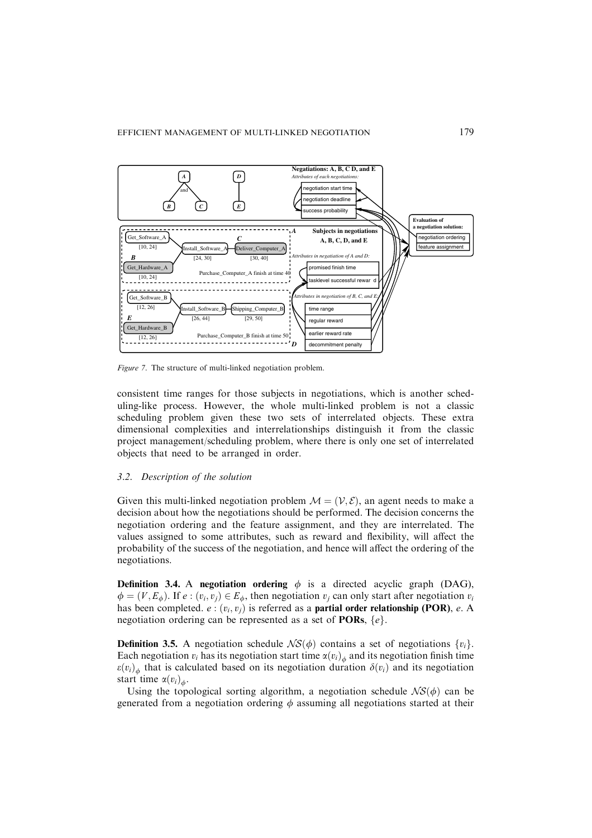

Figure 7. The structure of multi-linked negotiation problem.

consistent time ranges for those subjects in negotiations, which is another scheduling-like process. However, the whole multi-linked problem is not a classic scheduling problem given these two sets of interrelated objects. These extra dimensional complexities and interrelationships distinguish it from the classic project management/scheduling problem, where there is only one set of interrelated objects that need to be arranged in order.

### 3.2. Description of the solution

Given this multi-linked negotiation problem  $\mathcal{M} = (\mathcal{V}, \mathcal{E})$ , an agent needs to make a decision about how the negotiations should be performed. The decision concerns the negotiation ordering and the feature assignment, and they are interrelated. The values assigned to some attributes, such as reward and flexibility, will affect the probability of the success of the negotiation, and hence will affect the ordering of the negotiations.

**Definition 3.4.** A negotiation ordering  $\phi$  is a directed acyclic graph (DAG),  $\phi = (V, E_{\phi})$ . If  $e : (v_i, v_j) \in E_{\phi}$ , then negotiation  $v_i$  can only start after negotiation  $v_i$ has been completed.  $e$  :  $(v_i, v_j)$  is referred as a **partial order relationship (POR)**, e. A negotiation ordering can be represented as a set of **PORs**,  $\{e\}$ .

**Definition 3.5.** A negotiation schedule  $\mathcal{NS}(\phi)$  contains a set of negotiations  $\{v_i\}$ . Each negotiation  $v_i$  has its negotiation start time  $\alpha(v_i)$  and its negotiation finish time  $\varepsilon(v_i)$ <sub> $\phi$ </sub> that is calculated based on its negotiation duration  $\delta(v_i)$  and its negotiation start time  $\alpha(v_i)_{\phi}$ .

Using the topological sorting algorithm, a negotiation schedule  $\mathcal{NS}(\phi)$  can be generated from a negotiation ordering  $\phi$  assuming all negotiations started at their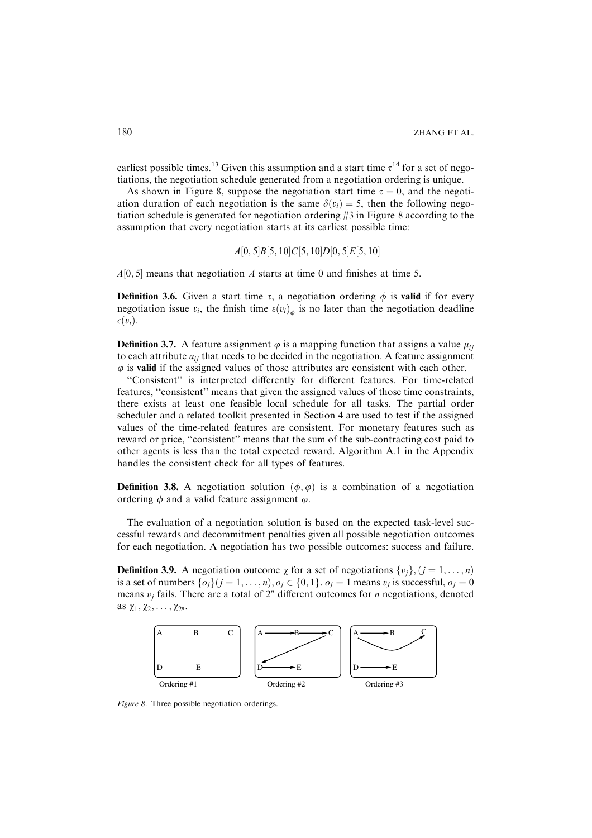earliest possible times.<sup>13</sup> Given this assumption and a start time  $\tau^{14}$  for a set of negotiations, the negotiation schedule generated from a negotiation ordering is unique.

As shown in Figure 8, suppose the negotiation start time  $\tau = 0$ , and the negotiation duration of each negotiation is the same  $\delta(v_i) = 5$ , then the following negotiation schedule is generated for negotiation ordering #3 in Figure 8 according to the assumption that every negotiation starts at its earliest possible time:

$$
A[0,5]B[5,10]C[5,10]D[0,5]E[5,10]
$$

 $A[0, 5]$  means that negotiation A starts at time 0 and finishes at time 5.

**Definition 3.6.** Given a start time  $\tau$ , a negotiation ordering  $\phi$  is valid if for every negotiation issue  $v_i$ , the finish time  $\varepsilon(v_i)$  is no later than the negotiation deadline  $\epsilon(v_i)$ .

**Definition 3.7.** A feature assignment  $\varphi$  is a mapping function that assigns a value  $\mu_{ii}$ to each attribute  $a_{ij}$  that needs to be decided in the negotiation. A feature assignment  $\varphi$  is valid if the assigned values of those attributes are consistent with each other.

''Consistent'' is interpreted differently for different features. For time-related features, "consistent" means that given the assigned values of those time constraints, there exists at least one feasible local schedule for all tasks. The partial order scheduler and a related toolkit presented in Section 4 are used to test if the assigned values of the time-related features are consistent. For monetary features such as reward or price, ''consistent'' means that the sum of the sub-contracting cost paid to other agents is less than the total expected reward. Algorithm A.1 in the Appendix handles the consistent check for all types of features.

**Definition 3.8.** A negotiation solution  $(\phi, \phi)$  is a combination of a negotiation ordering  $\phi$  and a valid feature assignment  $\varphi$ .

The evaluation of a negotiation solution is based on the expected task-level successful rewards and decommitment penalties given all possible negotiation outcomes for each negotiation. A negotiation has two possible outcomes: success and failure.

**Definition 3.9.** A negotiation outcome  $\chi$  for a set of negotiations  $\{v_j\}$ ,  $(j = 1, \ldots, n)$ is a set of numbers  $\{o_i\}(j = 1, \ldots, n), o_i \in \{0, 1\}$ .  $o_i = 1$  means  $v_i$  is successful,  $o_i = 0$ means  $v_i$  fails. There are a total of  $2<sup>n</sup>$  different outcomes for *n* negotiations, denoted as  $\chi_1, \chi_2, \ldots, \chi_{2^n}$ .



Figure 8. Three possible negotiation orderings.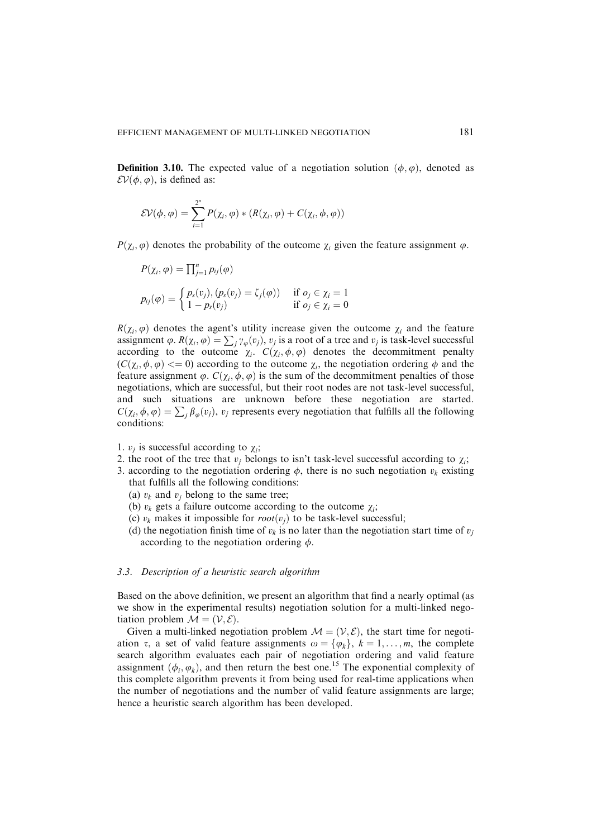**Definition 3.10.** The expected value of a negotiation solution  $(\phi, \varphi)$ , denoted as  $\mathcal{EV}(\phi, \varphi)$ , is defined as:

$$
\mathcal{EV}(\phi,\varphi)=\sum_{i=1}^{2^n}P(\chi_i,\varphi)*(R(\chi_i,\varphi)+C(\chi_i,\phi,\varphi))
$$

 $P(\chi_i, \varphi)$  denotes the probability of the outcome  $\chi_i$  given the feature assignment  $\varphi$ .

$$
P(\chi_i, \varphi) = \prod_{j=1}^n p_{ij}(\varphi)
$$
  
\n
$$
p_{ij}(\varphi) = \begin{cases} p_s(v_j), (p_s(v_j) = \zeta_j(\varphi)) & \text{if } o_j \in \chi_i = 1\\ 1 - p_s(v_j) & \text{if } o_j \in \chi_i = 0 \end{cases}
$$

 $R(\chi_i, \varphi)$  denotes the agent's utility increase given the outcome  $\chi_i$  and the feature assignment  $\varphi$ .  $R(\chi_i, \varphi) = \sum_j \gamma_{\varphi}(v_j)$ ,  $v_j$  is a root of a tree and  $v_j$  is task-level successful according to the outcome  $\chi_i$ .  $C(\chi_i, \phi, \varphi)$  denotes the decommitment penalty  $(C(\chi_i, \phi, \varphi) \leq 0)$  according to the outcome  $\chi_i$ , the negotiation ordering  $\phi$  and the feature assignment  $\varphi$ .  $C(\chi_i, \phi, \varphi)$  is the sum of the decommitment penalties of those negotiations, which are successful, but their root nodes are not task-level successful, and such situations are unknown before these negotiation are started.  $C(\chi_i, \phi, \varphi) = \sum_j \beta_{\varphi}(v_j)$ ,  $v_j$  represents every negotiation that fulfills all the following conditions: conditions:

- 1.  $v_i$  is successful according to  $\chi_i$ ;
- 2. the root of the tree that  $v_i$  belongs to isn't task-level successful according to  $\chi_i$ ;
- 3. according to the negotiation ordering  $\phi$ , there is no such negotiation  $v_k$  existing that fulfills all the following conditions:
	- (a)  $v_k$  and  $v_j$  belong to the same tree;
	- (b)  $v_k$  gets a failure outcome according to the outcome  $\chi_i$ ;
	- (c)  $v_k$  makes it impossible for  $root(v_i)$  to be task-level successful;
	- (d) the negotiation finish time of  $v_k$  is no later than the negotiation start time of  $v_i$ according to the negotiation ordering  $\phi$ .

#### 3.3. Description of a heuristic search algorithm

Based on the above definition, we present an algorithm that find a nearly optimal (as we show in the experimental results) negotiation solution for a multi-linked negotiation problem  $\mathcal{M} = (\mathcal{V}, \mathcal{E})$ .

Given a multi-linked negotiation problem  $\mathcal{M} = (\mathcal{V}, \mathcal{E})$ , the start time for negotiation  $\tau$ , a set of valid feature assignments  $\omega = {\varphi_k}$ ,  $k = 1, \ldots, m$ , the complete search algorithm evaluates each pair of negotiation ordering and valid feature assignment  $(\phi_i, \phi_k)$ , and then return the best one.<sup>15</sup> The exponential complexity of this complete algorithm prevents it from being used for real-time applications when the number of negotiations and the number of valid feature assignments are large; hence a heuristic search algorithm has been developed.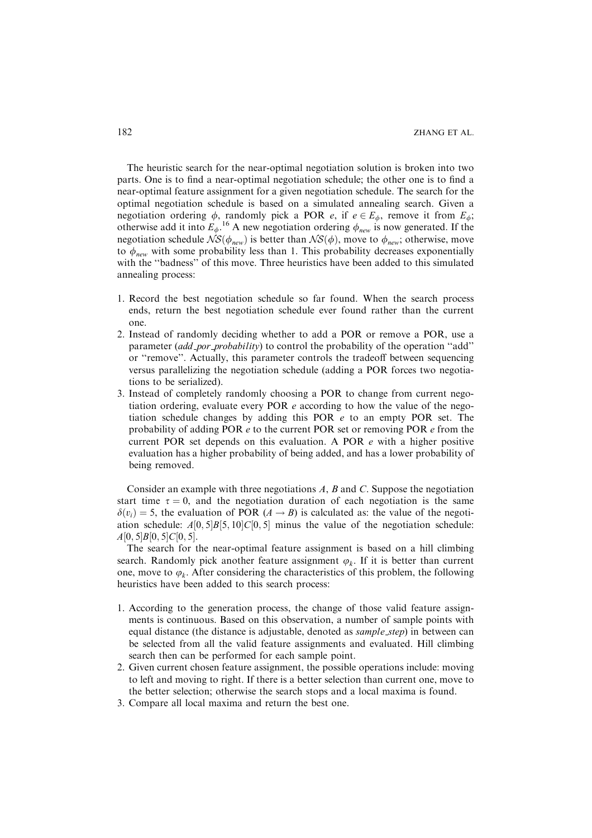The heuristic search for the near-optimal negotiation solution is broken into two parts. One is to find a near-optimal negotiation schedule; the other one is to find a near-optimal feature assignment for a given negotiation schedule. The search for the optimal negotiation schedule is based on a simulated annealing search. Given a negotiation ordering  $\phi$ , randomly pick a POR *e*, if  $e \in E_{\phi}$ , remove it from  $E_{\phi}$ ; otherwise add it into  $E_{\phi}$ .<sup>16</sup> A new negotiation ordering  $\phi_{new}$  is now generated. If the negotiation schedule  $NS(\phi_{new})$  is better than  $NS(\phi)$ , move to  $\phi_{new}$ ; otherwise, move to  $\phi_{new}$  with some probability less than 1. This probability decreases exponentially with the ''badness'' of this move. Three heuristics have been added to this simulated annealing process:

- 1. Record the best negotiation schedule so far found. When the search process ends, return the best negotiation schedule ever found rather than the current one.
- 2. Instead of randomly deciding whether to add a POR or remove a POR, use a parameter (add por probability) to control the probability of the operation ''add'' or ''remove''. Actually, this parameter controls the tradeoff between sequencing versus parallelizing the negotiation schedule (adding a POR forces two negotiations to be serialized).
- 3. Instead of completely randomly choosing a POR to change from current negotiation ordering, evaluate every POR e according to how the value of the negotiation schedule changes by adding this POR e to an empty POR set. The probability of adding POR e to the current POR set or removing POR e from the current POR set depends on this evaluation. A POR e with a higher positive evaluation has a higher probability of being added, and has a lower probability of being removed.

Consider an example with three negotiations  $A$ ,  $B$  and  $C$ . Suppose the negotiation start time  $\tau = 0$ , and the negotiation duration of each negotiation is the same  $\delta(v_i) = 5$ , the evaluation of POR  $(A \rightarrow B)$  is calculated as: the value of the negotiation schedule:  $A[0,5]B[5,10]C[0,5]$  minus the value of the negotiation schedule:  $A[0, 5]B[0, 5]C[0, 5].$ 

The search for the near-optimal feature assignment is based on a hill climbing search. Randomly pick another feature assignment  $\varphi_k$ . If it is better than current one, move to  $\varphi_k$ . After considering the characteristics of this problem, the following heuristics have been added to this search process:

- 1. According to the generation process, the change of those valid feature assignments is continuous. Based on this observation, a number of sample points with equal distance (the distance is adjustable, denoted as *sample\_step*) in between can be selected from all the valid feature assignments and evaluated. Hill climbing search then can be performed for each sample point.
- 2. Given current chosen feature assignment, the possible operations include: moving to left and moving to right. If there is a better selection than current one, move to the better selection; otherwise the search stops and a local maxima is found.
- 3. Compare all local maxima and return the best one.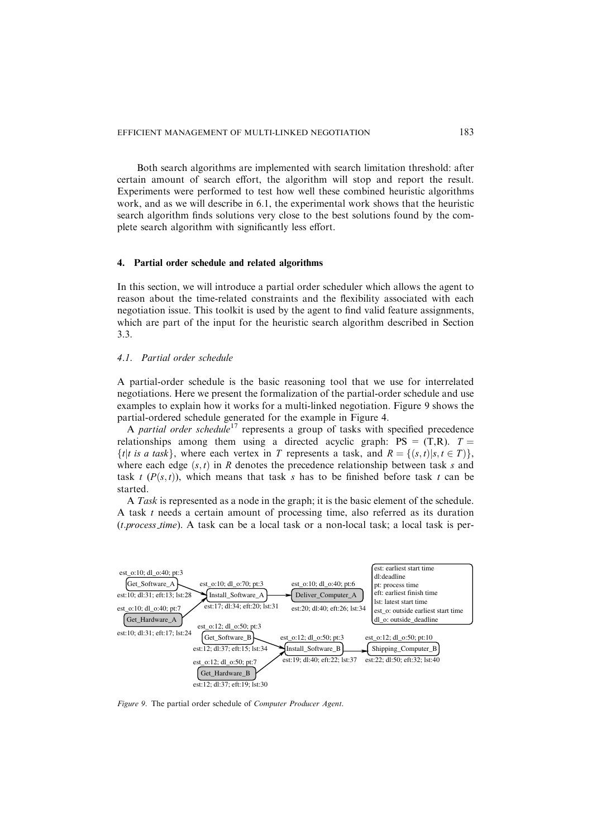Both search algorithms are implemented with search limitation threshold: after certain amount of search effort, the algorithm will stop and report the result. Experiments were performed to test how well these combined heuristic algorithms work, and as we will describe in 6.1, the experimental work shows that the heuristic search algorithm finds solutions very close to the best solutions found by the complete search algorithm with significantly less effort.

### 4. Partial order schedule and related algorithms

In this section, we will introduce a partial order scheduler which allows the agent to reason about the time-related constraints and the flexibility associated with each negotiation issue. This toolkit is used by the agent to find valid feature assignments, which are part of the input for the heuristic search algorithm described in Section 3.3.

### 4.1. Partial order schedule

A partial-order schedule is the basic reasoning tool that we use for interrelated negotiations. Here we present the formalization of the partial-order schedule and use examples to explain how it works for a multi-linked negotiation. Figure 9 shows the partial-ordered schedule generated for the example in Figure 4.

A partial order schedule<sup>17</sup> represents a group of tasks with specified precedence relationships among them using a directed acyclic graph:  $PS = (T,R)$ .  $T =$ {t|t is a task}, where each vertex in T represents a task, and  $R = \{(s,t)|s,t \in T\}$ }, where each edge  $(s, t)$  in R denotes the precedence relationship between task s and task t ( $P(s,t)$ ), which means that task s has to be finished before task t can be started.

A Task is represented as a node in the graph; it is the basic element of the schedule. A task t needs a certain amount of processing time, also referred as its duration  $(t.process_time)$ . A task can be a local task or a non-local task; a local task is per-



Figure 9. The partial order schedule of Computer Producer Agent.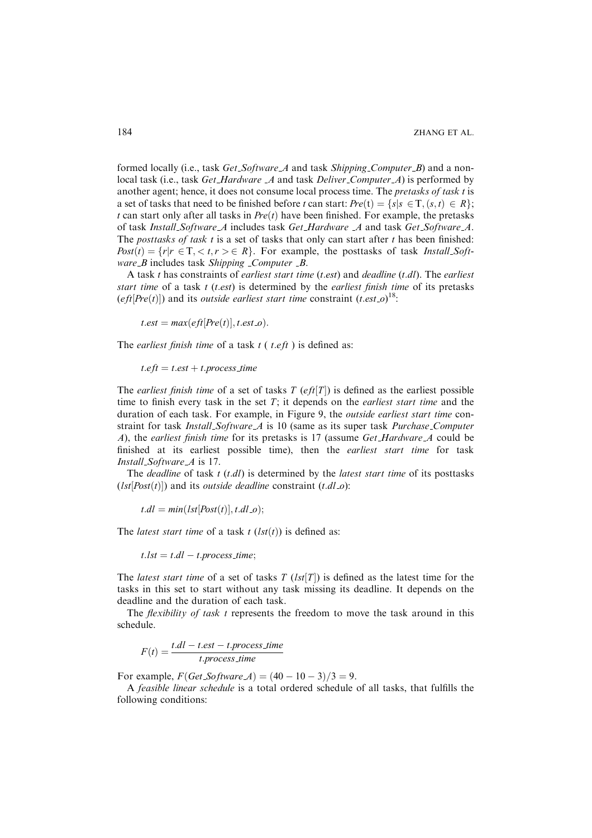formed locally (i.e., task Get Software A and task Shipping Computer B) and a nonlocal task (i.e., task Get\_Hardware \_A and task Deliver\_Computer\_A) is performed by another agent; hence, it does not consume local process time. The pretasks of task t is a set of tasks that need to be finished before t can start:  $Pre(t) = \{s | s \in T, (s,t) \in R\}$ ; t can start only after all tasks in  $Pre(t)$  have been finished. For example, the pretasks of task Install\_Software\_A includes task Get\_Hardware\_A and task Get\_Software\_A. The posttasks of task t is a set of tasks that only can start after t has been finished:  $Post(t) = \{r | r \in T, \langle t, r \rangle \in R\}$ . For example, the posttasks of task Install Software B includes task Shipping Computer B.

A task t has constraints of *earliest start time* (*t.est*) and *deadline* (*t.dl*). The *earliest* start time of a task  $t$  (t.est) is determined by the *earliest finish time* of its pretasks  $(eff[Pre(t)])$  and its *outside earliest start time* constraint  $(t. est<sub>-0</sub>)<sup>18</sup>$ :

 $t. est = max(eft[Pre(t)], t. est_o).$ 

The *earliest finish time* of a task  $t$  ( $t.$ *eft*) is defined as:

 $t.$ eft = t.est + t.process\_time

The earliest finish time of a set of tasks T (eft[T]) is defined as the earliest possible time to finish every task in the set  $T$ ; it depends on the *earliest start time* and the duration of each task. For example, in Figure 9, the outside earliest start time constraint for task *Install\_Software\_A* is 10 (same as its super task *Purchase\_Computer* A), the earliest finish time for its pretasks is 17 (assume Get\_Hardware\_A could be finished at its earliest possible time), then the earliest start time for task Install\_Software\_A is 17.

The *deadline* of task  $t$  (*t.dl*) is determined by the *latest start time* of its posttasks  $(lst[Post(t)])$  and its *outside deadline* constraint  $(t.dl_0)$ :

 $t$ .dl =  $min(lst[Post(t)], t$ .dl \_o);

The *latest start time* of a task  $t$  (*lst*( $t$ )) is defined as:

 $t. Ist = t.dl - t. process\_time;$ 

The *latest start time* of a set of tasks  $T$  (*lst*[T]) is defined as the latest time for the tasks in this set to start without any task missing its deadline. It depends on the deadline and the duration of each task.

The *flexibility of task t* represents the freedom to move the task around in this schedule.

 $F(t) = \frac{t.dl - t.est - t. process\_time}{t. process\_time}$ t:process time

For example,  $F(Get\_Software\_A) = (40 - 10 - 3)/3 = 9$ .<br>A *feasible linear schedule* is a total ordered schedule

A feasible linear schedule is a total ordered schedule of all tasks, that fulfills the following conditions: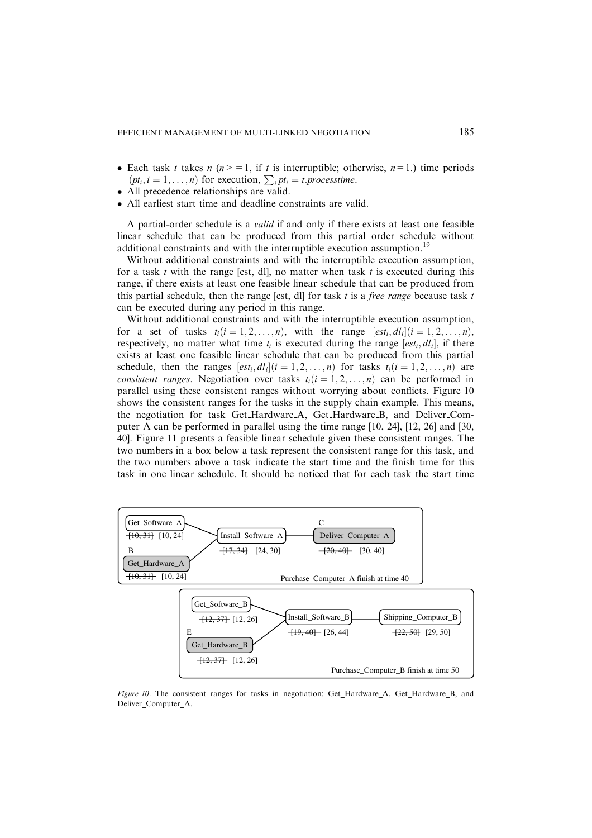- Each task t takes  $n (n \geq 1)$ , if t is interruptible; otherwise,  $n=1$ .) time periods  $(pt_i, i = 1, ..., n)$  for execution,  $\sum_i pt_i = t$  processtime.<br>All precedence relationships are valid
- All precedence relationships are valid.
- All earliest start time and deadline constraints are valid.

A partial-order schedule is a valid if and only if there exists at least one feasible linear schedule that can be produced from this partial order schedule without additional constraints and with the interruptible execution assumption.<sup>19</sup>

Without additional constraints and with the interruptible execution assumption, for a task  $t$  with the range [est, dl], no matter when task  $t$  is executed during this range, if there exists at least one feasible linear schedule that can be produced from this partial schedule, then the range [est, dl] for task t is a *free range* because task t can be executed during any period in this range.

Without additional constraints and with the interruptible execution assumption, for a set of tasks  $t_i(i = 1, 2, \ldots, n)$ , with the range  $[est_i, dl_i](i = 1, 2, \ldots, n)$ , respectively, no matter what time  $t_i$  is executed during the range [ $est_i$ ,  $dl_i$ ], if there exists at least one feasible linear schedule that can be produced from this partial schedule, then the ranges  $[est_i, dl_i](i = 1, 2, ..., n)$  for tasks  $t_i(i = 1, 2, ..., n)$  are consistent ranges. Negotiation over tasks  $t_i(i = 1, 2, \ldots, n)$  can be performed in parallel using these consistent ranges without worrying about conflicts. Figure 10 shows the consistent ranges for the tasks in the supply chain example. This means, the negotiation for task Get Hardware A, Get Hardware B, and Deliver Computer A can be performed in parallel using the time range [10, 24], [12, 26] and [30, 40]. Figure 11 presents a feasible linear schedule given these consistent ranges. The two numbers in a box below a task represent the consistent range for this task, and the two numbers above a task indicate the start time and the finish time for this task in one linear schedule. It should be noticed that for each task the start time



Figure 10. The consistent ranges for tasks in negotiation: Get Hardware A, Get Hardware B, and Deliver Computer A.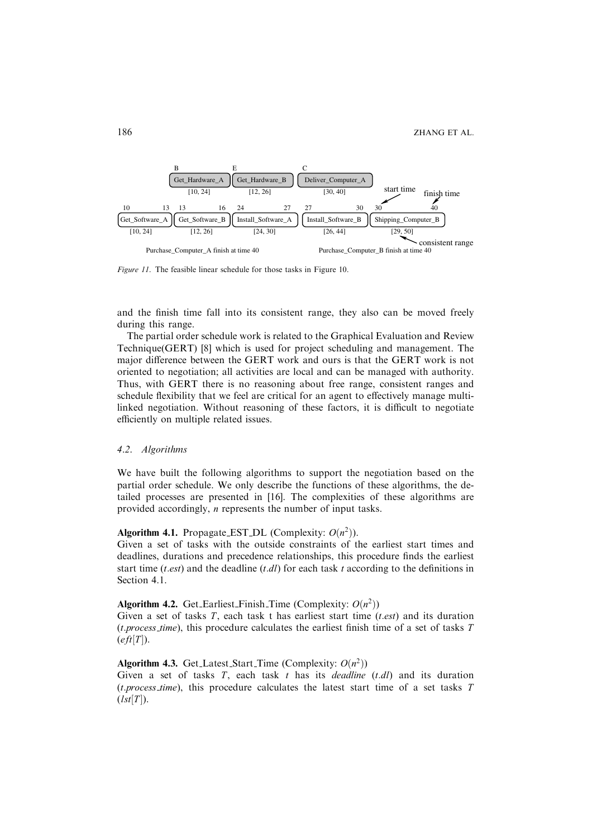

Figure 11. The feasible linear schedule for those tasks in Figure 10.

and the finish time fall into its consistent range, they also can be moved freely during this range.

The partial order schedule work is related to the Graphical Evaluation and Review Technique(GERT) [8] which is used for project scheduling and management. The major difference between the GERT work and ours is that the GERT work is not oriented to negotiation; all activities are local and can be managed with authority. Thus, with GERT there is no reasoning about free range, consistent ranges and schedule flexibility that we feel are critical for an agent to effectively manage multilinked negotiation. Without reasoning of these factors, it is difficult to negotiate efficiently on multiple related issues.

#### 4.2. Algorithms

We have built the following algorithms to support the negotiation based on the partial order schedule. We only describe the functions of these algorithms, the detailed processes are presented in [16]. The complexities of these algorithms are provided accordingly, n represents the number of input tasks.

### Algorithm 4.1. Propagate EST DL (Complexity:  $O(n^2)$ ).

Given a set of tasks with the outside constraints of the earliest start times and deadlines, durations and precedence relationships, this procedure finds the earliest start time (*t.est*) and the deadline  $(t.dl)$  for each task t according to the definitions in Section 4.1.

## Algorithm 4.2. Get Earliest Finish Time (Complexity:  $O(n^2)$ )

Given a set of tasks T, each task t has earliest start time  $(t.est)$  and its duration  $(t.process_time)$ , this procedure calculates the earliest finish time of a set of tasks  $T$  $(eft[T])$ .

# Algorithm 4.3. Get Latest Start Time (Complexity:  $O(n^2)$ )

Given a set of tasks T, each task t has its *deadline*  $(t.dl)$  and its duration  $(t.process_time)$ , this procedure calculates the latest start time of a set tasks T  $(lst[T])$ .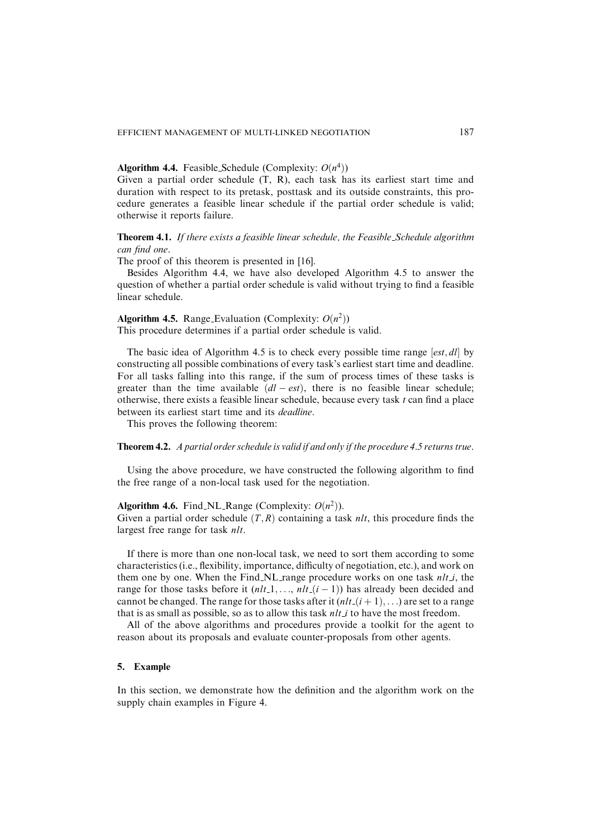# Algorithm 4.4. Feasible Schedule (Complexity:  $O(n^4)$ )

Given a partial order schedule (T, R), each task has its earliest start time and duration with respect to its pretask, posttask and its outside constraints, this procedure generates a feasible linear schedule if the partial order schedule is valid; otherwise it reports failure.

**Theorem 4.1.** If there exists a feasible linear schedule, the Feasible\_Schedule algorithm can find one.

The proof of this theorem is presented in [16].

Besides Algorithm 4.4, we have also developed Algorithm 4.5 to answer the question of whether a partial order schedule is valid without trying to find a feasible linear schedule.

Algorithm 4.5. Range Evaluation (Complexity:  $O(n^2)$ ) This procedure determines if a partial order schedule is valid.

The basic idea of Algorithm 4.5 is to check every possible time range  $[est, dl]$  by constructing all possible combinations of every task's earliest start time and deadline. For all tasks falling into this range, if the sum of process times of these tasks is greater than the time available  $(dl - est)$ , there is no feasible linear schedule;<br>otherwise there exists a feasible linear schedule, because every task t can find a place otherwise, there exists a feasible linear schedule, because every task  $t$  can find a place between its earliest start time and its deadline.

This proves the following theorem:

Theorem 4.2. A partial order schedule is valid if and only if the procedure 4.5 returns true.

Using the above procedure, we have constructed the following algorithm to find the free range of a non-local task used for the negotiation.

### Algorithm 4.6. Find NL Range (Complexity:  $O(n^2)$ ).

Given a partial order schedule  $(T, R)$  containing a task nlt, this procedure finds the largest free range for task nlt.

If there is more than one non-local task, we need to sort them according to some characteristics (i.e., flexibility, importance, difficulty of negotiation, etc.), and work on them one by one. When the Find NL range procedure works on one task  $nlt i$ , the range for those tasks before it  $(nlt, 1, ..., nt<sub>-</sub>(i-1))$  has already been decided and<br>cannot be changed. The range for those tasks after it  $(nlt, (i+1))$  are set to a range cannot be changed. The range for those tasks after it  $(nlt (i + 1), ...)$  are set to a range that is as small as possible, so as to allow this task  $nlt_i$  to have the most freedom.

All of the above algorithms and procedures provide a toolkit for the agent to reason about its proposals and evaluate counter-proposals from other agents.

#### 5. Example

In this section, we demonstrate how the definition and the algorithm work on the supply chain examples in Figure 4.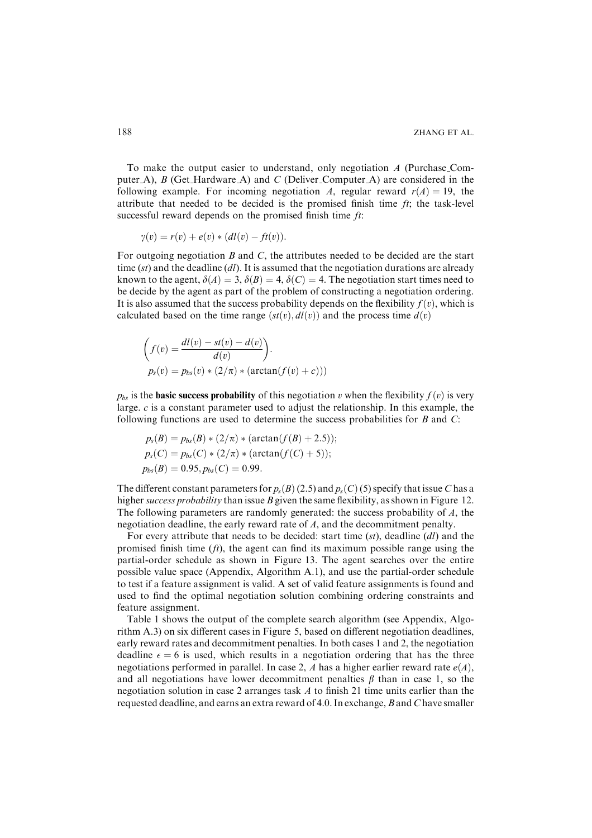To make the output easier to understand, only negotiation  $A$  (Purchase Computer A), B (Get Hardware A) and C (Deliver Computer A) are considered in the following example. For incoming negotiation A, regular reward  $r(A) = 19$ , the attribute that needed to be decided is the promised finish time  $ft$ ; the task-level successful reward depends on the promised finish time  $ft$ :

$$
\gamma(v) = r(v) + e(v) * (dl(v) - ft(v)).
$$

For outgoing negotiation  $B$  and  $C$ , the attributes needed to be decided are the start time (st) and the deadline (dl). It is assumed that the negotiation durations are already known to the agent,  $\delta(A) = 3$ ,  $\delta(B) = 4$ ,  $\delta(C) = 4$ . The negotiation start times need to be decide by the agent as part of the problem of constructing a negotiation ordering. It is also assumed that the success probability depends on the flexibility  $f(v)$ , which is calculated based on the time range  $(st(v), dl(v))$  and the process time  $d(v)$ 

$$
\left(f(v) = \frac{dI(v) - st(v) - d(v)}{d(v)}\right).
$$
  
\n
$$
p_s(v) = p_{bs}(v) * (2/\pi) * (\arctan(f(v) + c)))
$$

 $p_{bs}$  is the **basic success probability** of this negotiation v when the flexibility  $f(v)$  is very large. c is a constant parameter used to adjust the relationship. In this example, the following functions are used to determine the success probabilities for  $B$  and  $C$ :

$$
p_s(B) = p_{bs}(B) * (2/\pi) * (arctan(f(B) + 2.5));
$$
  
\n
$$
p_s(C) = p_{bs}(C) * (2/\pi) * (arctan(f(C) + 5));
$$
  
\n
$$
p_{bs}(B) = 0.95, p_{bs}(C) = 0.99.
$$

The different constant parameters for  $p<sub>s</sub>(B)(2.5)$  and  $p<sub>s</sub>(C)(5)$  specify that issue C has a higher *success probability* than issue B given the same flexibility, as shown in Figure 12. The following parameters are randomly generated: the success probability of A, the negotiation deadline, the early reward rate of A, and the decommitment penalty.

For every attribute that needs to be decided: start time  $(st)$ , deadline  $(d)$  and the promised finish time  $(ft)$ , the agent can find its maximum possible range using the partial-order schedule as shown in Figure 13. The agent searches over the entire possible value space (Appendix, Algorithm A.1), and use the partial-order schedule to test if a feature assignment is valid. A set of valid feature assignments is found and used to find the optimal negotiation solution combining ordering constraints and feature assignment.

Table 1 shows the output of the complete search algorithm (see Appendix, Algorithm A.3) on six different cases in Figure 5, based on different negotiation deadlines, early reward rates and decommitment penalties. In both cases 1 and 2, the negotiation deadline  $\epsilon = 6$  is used, which results in a negotiation ordering that has the three negotiations performed in parallel. In case 2, A has a higher earlier reward rate  $e(A)$ , and all negotiations have lower decommitment penalties  $\beta$  than in case 1, so the negotiation solution in case 2 arranges task A to finish 21 time units earlier than the requested deadline, and earns an extra reward of 4.0. In exchange, Band C have smaller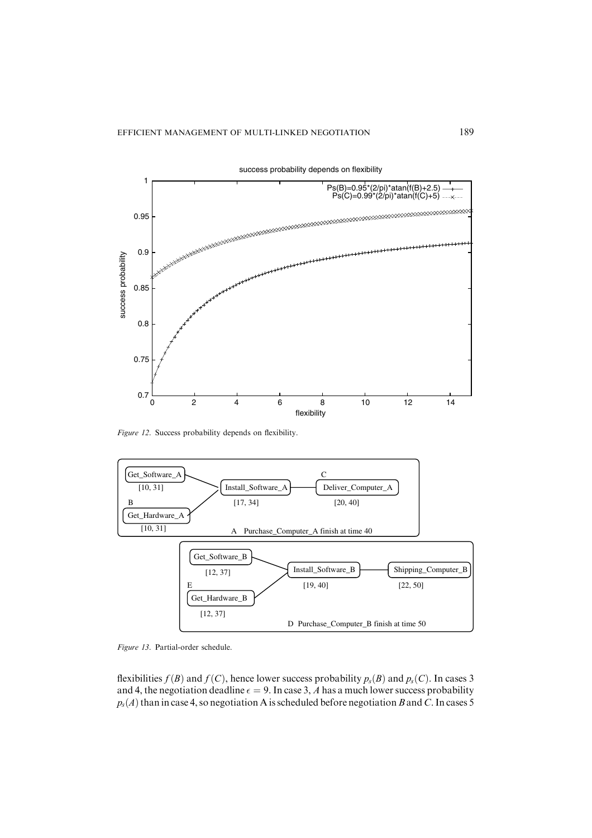

Figure 12. Success probability depends on flexibility.



Figure 13. Partial-order schedule.

flexibilities  $f(B)$  and  $f(C)$ , hence lower success probability  $p_s(B)$  and  $p_s(C)$ . In cases 3 and 4, the negotiation deadline  $\epsilon = 9$ . In case 3, A has a much lower success probability  $p_s(A)$  than in case 4, so negotiation A is scheduled before negotiation B and C. In cases 5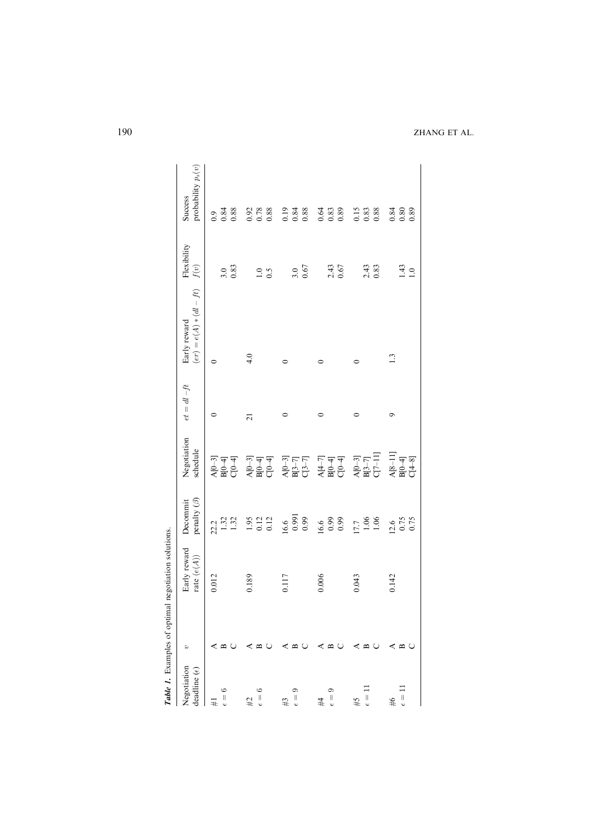|                                         | Table 1. Examples of optimal        | negouation solutions.         |                                                     |                                                                                                                               |                |                                              |                       |                                                   |
|-----------------------------------------|-------------------------------------|-------------------------------|-----------------------------------------------------|-------------------------------------------------------------------------------------------------------------------------------|----------------|----------------------------------------------|-----------------------|---------------------------------------------------|
| Negotiation<br>deadline $(\epsilon)$    | $\ddot{\phantom{0}}$                | Early reward<br>rate $(e(A))$ | penalty $(\beta)$<br>Decommit                       | Negotiation<br>schedule                                                                                                       | $et=dl-\hbar$  | $(er)=e(A)*(dl-\mathit{ft})$<br>Early reward | Flexibility<br>$f(v)$ | probability $p_s(v)$<br><b>Success</b>            |
| G<br>$\mid \mid$<br>井<br>Ô              | $\mathbf{r}$<br>⋖                   | 0.012                         | $22.2$<br>1.32<br>1.32                              | $\frac{A[0-3]}{B[0-4]}$                                                                                                       | $\circ$        |                                              | $\frac{3.0}{0.83}$    | 0.84<br>0.9                                       |
| G<br>$\mid \mid$<br>芍<br>É              | $\cup$<br>$\mathbf{r}$<br>⋖         | 0.189                         | $\begin{array}{c} 1.95 \\ 0.12 \\ 0.12 \end{array}$ |                                                                                                                               | $\overline{c}$ | 4.0                                          | $\overline{0}$<br>0.5 | $0.88$<br>$0.88$                                  |
| ං<br>$\mid \mid$<br>$\sharp\sharp$<br>Ü | $\circ$<br>⋖<br>$\mathbf{m}$        | 0.117                         | $\frac{16.6}{0.991}$                                | $\begin{array}{l} A[0\!-\!3] \\ B[0\!-\!4] \\ C[0\!-\!4] \\ C[0\!-\!3] \\ A[3\!-\!7] \\ B[3\!-\!7] \\ C[3\!-\!7] \end{array}$ |                | ⌒                                            | 0.67<br>3.0           | $0.38$<br>$0.88$                                  |
| $\circ$<br>$\mathop{\mathbb{L}}$<br>#4  |                                     | 0.006                         | $\frac{16.6}{0.99}$                                 | $\frac{A[4-7]}{B[0-4]}$                                                                                                       |                |                                              | 2.43<br>0.67          | $0.88$<br>$0.89$                                  |
| $\frac{1}{6}$<br>5#                     | ⋖<br>$\mathsf{m} \circlearrowright$ | 0.043                         | $\frac{17.7}{1.06}$                                 | $\begin{array}{c} A[0\!-\!3]\\ \text{B}[3\!-\!7]\\ \text{C}[7\!-\!11] \end{array}$                                            |                |                                              | 2.43<br>0.83          | $\begin{array}{c} 15 \\ 0.83 \\ 0.88 \end{array}$ |
| $\mid \mid$<br>9#<br>Ü                  | $\mathsf{m} \circlearrowright$<br>⋖ | 0.142                         | $\begin{array}{c} 12.6 \\ 0.75 \\ 0.75 \end{array}$ | $\begin{array}{c} A[8-11] \\ B[0-4] \\ C[4-8] \end{array}$                                                                    | ٩              | 1.3                                          | $\frac{1.43}{1.0}$    | $3.88$<br>$0.88$                                  |
|                                         |                                     |                               |                                                     |                                                                                                                               |                |                                              |                       |                                                   |

Table 1. Examples of optimal negotiation solutions. Table 1. Examples of optimal negotiation solutions.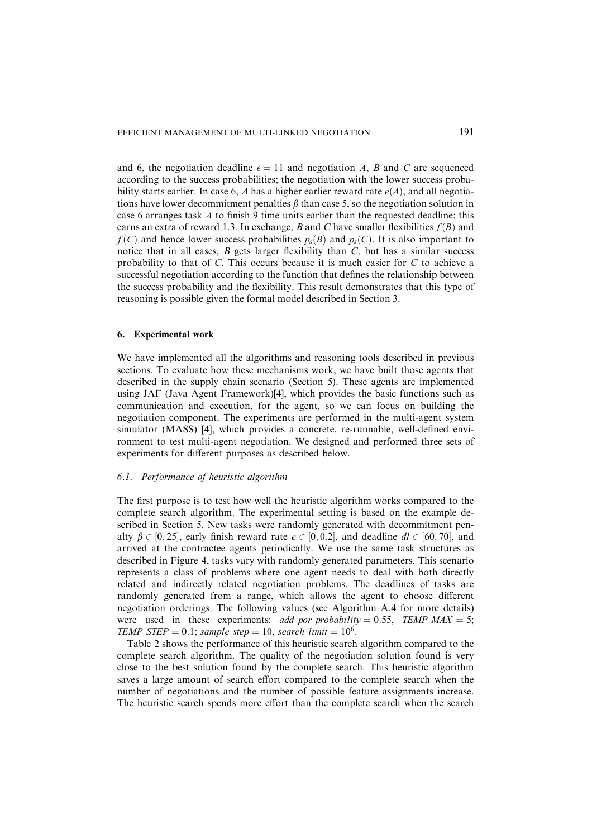and 6, the negotiation deadline  $\epsilon = 11$  and negotiation A, B and C are sequenced according to the success probabilities; the negotiation with the lower success probability starts earlier. In case 6, A has a higher earlier reward rate  $e(A)$ , and all negotiations have lower decommitment penalties  $\beta$  than case 5, so the negotiation solution in case 6 arranges task  $\vec{A}$  to finish 9 time units earlier than the requested deadline; this earns an extra of reward 1.3. In exchange, B and C have smaller flexibilities  $f(B)$  and  $f(C)$  and hence lower success probabilities  $p_s(B)$  and  $p_s(C)$ . It is also important to notice that in all cases,  $B$  gets larger flexibility than  $C$ , but has a similar success probability to that of C. This occurs because it is much easier for C to achieve a successful negotiation according to the function that defines the relationship between the success probability and the flexibility. This result demonstrates that this type of reasoning is possible given the formal model described in Section 3.

### 6. Experimental work

We have implemented all the algorithms and reasoning tools described in previous sections. To evaluate how these mechanisms work, we have built those agents that described in the supply chain scenario (Section 5). These agents are implemented using JAF (Java Agent Framework)[4], which provides the basic functions such as communication and execution, for the agent, so we can focus on building the negotiation component. The experiments are performed in the multi-agent system simulator (MASS) [4], which provides a concrete, re-runnable, well-defined environment to test multi-agent negotiation. We designed and performed three sets of experiments for different purposes as described below.

### 6.1. Performance of heuristic algorithm

The first purpose is to test how well the heuristic algorithm works compared to the complete search algorithm. The experimental setting is based on the example described in Section 5. New tasks were randomly generated with decommitment penalty  $\beta \in [0, 25]$ , early finish reward rate  $e \in [0, 0.2]$ , and deadline  $dl \in [60, 70]$ , and arrived at the contractee agents periodically. We use the same task structures as described in Figure 4, tasks vary with randomly generated parameters. This scenario represents a class of problems where one agent needs to deal with both directly related and indirectly related negotiation problems. The deadlines of tasks are randomly generated from a range, which allows the agent to choose different negotiation orderings. The following values (see Algorithm A.4 for more details) were used in these experiments:  $add\_por\_probability = 0.55$ ,  $TEMP\_MAX = 5$ ; TEMP STEP = 0.1; sample step = 10, search limit =  $10<sup>6</sup>$ .

Table 2 shows the performance of this heuristic search algorithm compared to the complete search algorithm. The quality of the negotiation solution found is very close to the best solution found by the complete search. This heuristic algorithm saves a large amount of search effort compared to the complete search when the number of negotiations and the number of possible feature assignments increase. The heuristic search spends more effort than the complete search when the search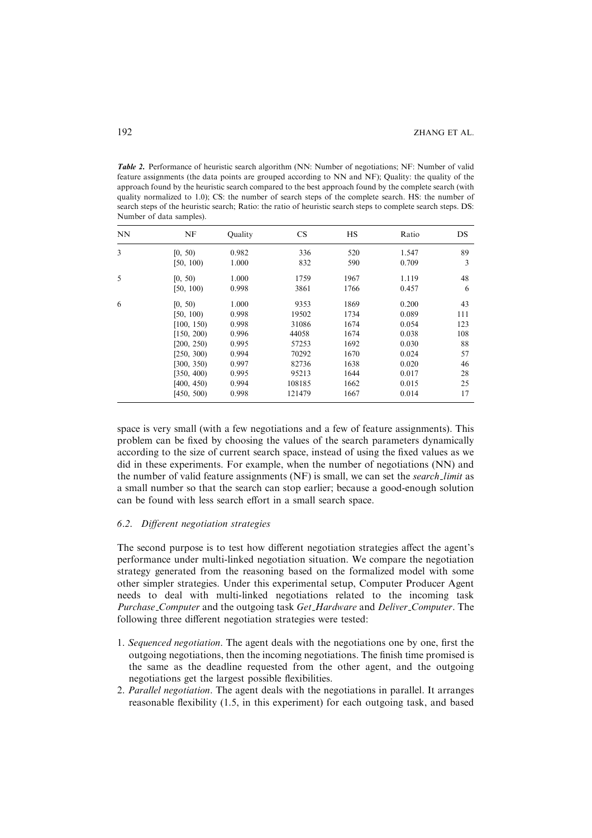Table 2. Performance of heuristic search algorithm (NN: Number of negotiations; NF: Number of valid feature assignments (the data points are grouped according to NN and NF); Quality: the quality of the approach found by the heuristic search compared to the best approach found by the complete search (with quality normalized to 1.0); CS: the number of search steps of the complete search. HS: the number of search steps of the heuristic search; Ratio: the ratio of heuristic search steps to complete search steps. DS: Number of data samples).

| <b>NN</b> | NF         | Quality | <b>CS</b> | HS   | Ratio | DS  |
|-----------|------------|---------|-----------|------|-------|-----|
| 3         | [0, 50)    | 0.982   | 336       | 520  | 1.547 | 89  |
|           | [50, 100)  | 1.000   | 832       | 590  | 0.709 | 3   |
| 5         | [0, 50)    | 1.000   | 1759      | 1967 | 1.119 | 48  |
|           | [50, 100)  | 0.998   | 3861      | 1766 | 0.457 | 6   |
| 6         | [0, 50)    | 1.000   | 9353      | 1869 | 0.200 | 43  |
|           | [50, 100)  | 0.998   | 19502     | 1734 | 0.089 | 111 |
|           | [100, 150) | 0.998   | 31086     | 1674 | 0.054 | 123 |
|           | [150, 200] | 0.996   | 44058     | 1674 | 0.038 | 108 |
|           | [200, 250) | 0.995   | 57253     | 1692 | 0.030 | 88  |
|           | [250, 300) | 0.994   | 70292     | 1670 | 0.024 | 57  |
|           | [300, 350) | 0.997   | 82736     | 1638 | 0.020 | 46  |
|           | [350, 400) | 0.995   | 95213     | 1644 | 0.017 | 28  |
|           | [400, 450) | 0.994   | 108185    | 1662 | 0.015 | 25  |
|           | [450, 500) | 0.998   | 121479    | 1667 | 0.014 | 17  |

space is very small (with a few negotiations and a few of feature assignments). This problem can be fixed by choosing the values of the search parameters dynamically according to the size of current search space, instead of using the fixed values as we did in these experiments. For example, when the number of negotiations (NN) and the number of valid feature assignments (NF) is small, we can set the search limit as a small number so that the search can stop earlier; because a good-enough solution can be found with less search effort in a small search space.

### 6.2. Different negotiation strategies

The second purpose is to test how different negotiation strategies affect the agent's performance under multi-linked negotiation situation. We compare the negotiation strategy generated from the reasoning based on the formalized model with some other simpler strategies. Under this experimental setup, Computer Producer Agent needs to deal with multi-linked negotiations related to the incoming task Purchase Computer and the outgoing task Get Hardware and Deliver Computer. The following three different negotiation strategies were tested:

- 1. Sequenced negotiation. The agent deals with the negotiations one by one, first the outgoing negotiations, then the incoming negotiations. The finish time promised is the same as the deadline requested from the other agent, and the outgoing negotiations get the largest possible flexibilities.
- 2. Parallel negotiation. The agent deals with the negotiations in parallel. It arranges reasonable flexibility (1.5, in this experiment) for each outgoing task, and based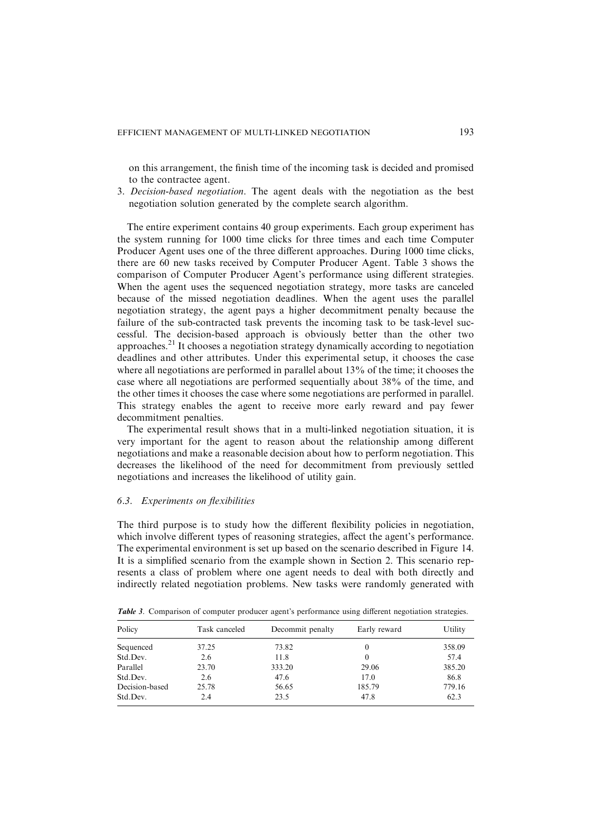on this arrangement, the finish time of the incoming task is decided and promised to the contractee agent.

3. Decision-based negotiation. The agent deals with the negotiation as the best negotiation solution generated by the complete search algorithm.

The entire experiment contains 40 group experiments. Each group experiment has the system running for 1000 time clicks for three times and each time Computer Producer Agent uses one of the three different approaches. During 1000 time clicks, there are 60 new tasks received by Computer Producer Agent. Table 3 shows the comparison of Computer Producer Agent's performance using different strategies. When the agent uses the sequenced negotiation strategy, more tasks are canceled because of the missed negotiation deadlines. When the agent uses the parallel negotiation strategy, the agent pays a higher decommitment penalty because the failure of the sub-contracted task prevents the incoming task to be task-level successful. The decision-based approach is obviously better than the other two approaches.<sup>21</sup> It chooses a negotiation strategy dynamically according to negotiation deadlines and other attributes. Under this experimental setup, it chooses the case where all negotiations are performed in parallel about 13% of the time; it chooses the case where all negotiations are performed sequentially about 38% of the time, and the other times it chooses the case where some negotiations are performed in parallel. This strategy enables the agent to receive more early reward and pay fewer decommitment penalties.

The experimental result shows that in a multi-linked negotiation situation, it is very important for the agent to reason about the relationship among different negotiations and make a reasonable decision about how to perform negotiation. This decreases the likelihood of the need for decommitment from previously settled negotiations and increases the likelihood of utility gain.

#### 6.3. Experiments on flexibilities

The third purpose is to study how the different flexibility policies in negotiation, which involve different types of reasoning strategies, affect the agent's performance. The experimental environment is set up based on the scenario described in Figure 14. It is a simplified scenario from the example shown in Section 2. This scenario represents a class of problem where one agent needs to deal with both directly and indirectly related negotiation problems. New tasks were randomly generated with

| Policy         | Task canceled | Decommit penalty | Early reward | Utility |
|----------------|---------------|------------------|--------------|---------|
| Sequenced      | 37.25         | 73.82            | $\theta$     | 358.09  |
| Std.Dev.       | 2.6           | 11.8             | $\theta$     | 57.4    |
| Parallel       | 23.70         | 333.20           | 29.06        | 385.20  |
| Std.Dev.       | 2.6           | 47.6             | 17.0         | 86.8    |
| Decision-based | 25.78         | 56.65            | 185.79       | 779.16  |
| Std.Dev.       | 2.4           | 23.5             | 47.8         | 62.3    |

Table 3. Comparison of computer producer agent's performance using different negotiation strategies.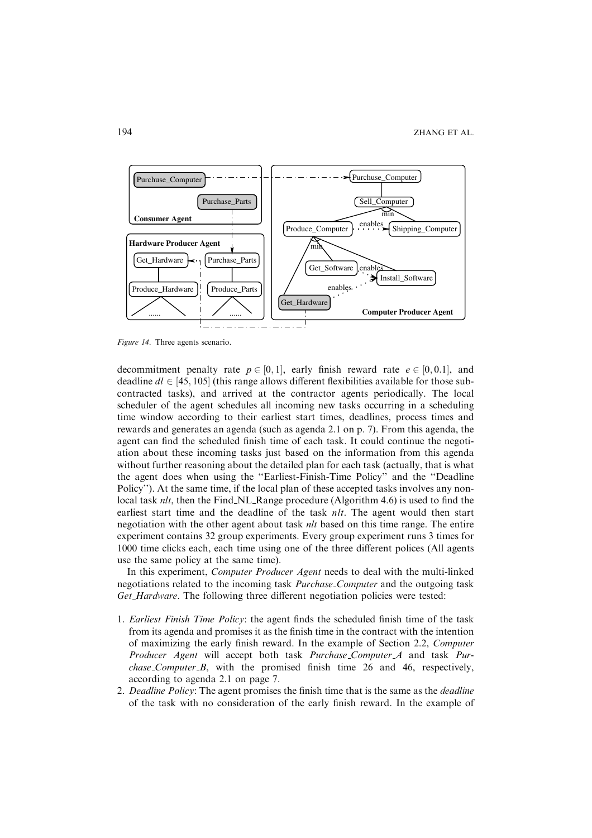

Figure 14. Three agents scenario.

decommitment penalty rate  $p \in [0, 1]$ , early finish reward rate  $e \in [0, 0.1]$ , and deadline  $dl \in [45, 105]$  (this range allows different flexibilities available for those subcontracted tasks), and arrived at the contractor agents periodically. The local scheduler of the agent schedules all incoming new tasks occurring in a scheduling time window according to their earliest start times, deadlines, process times and rewards and generates an agenda (such as agenda 2.1 on p. 7). From this agenda, the agent can find the scheduled finish time of each task. It could continue the negotiation about these incoming tasks just based on the information from this agenda without further reasoning about the detailed plan for each task (actually, that is what the agent does when using the ''Earliest-Finish-Time Policy'' and the ''Deadline Policy''). At the same time, if the local plan of these accepted tasks involves any nonlocal task *nlt*, then the Find NL Range procedure (Algorithm 4.6) is used to find the earliest start time and the deadline of the task nlt. The agent would then start negotiation with the other agent about task nlt based on this time range. The entire experiment contains 32 group experiments. Every group experiment runs 3 times for 1000 time clicks each, each time using one of the three different polices (All agents use the same policy at the same time).

In this experiment, Computer Producer Agent needs to deal with the multi-linked negotiations related to the incoming task Purchase Computer and the outgoing task Get Hardware. The following three different negotiation policies were tested:

- 1. Earliest Finish Time Policy: the agent finds the scheduled finish time of the task from its agenda and promises it as the finish time in the contract with the intention of maximizing the early finish reward. In the example of Section 2.2, Computer Producer Agent will accept both task Purchase Computer A and task Pur*chase Computer B*, with the promised finish time 26 and 46, respectively, according to agenda 2.1 on page 7.
- 2. Deadline Policy: The agent promises the finish time that is the same as the deadline of the task with no consideration of the early finish reward. In the example of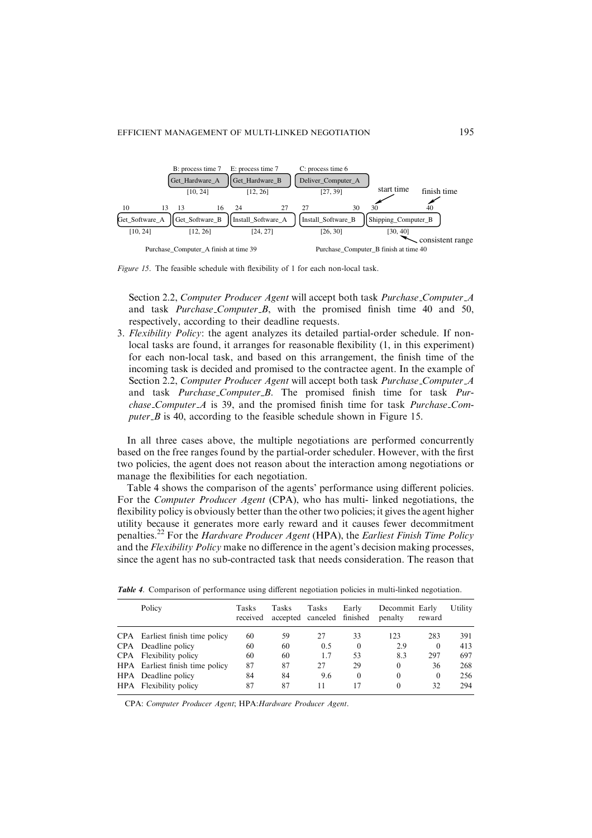

Figure 15. The feasible schedule with flexibility of 1 for each non-local task.

Section 2.2, Computer Producer Agent will accept both task Purchase Computer A and task *Purchase Computer B*, with the promised finish time 40 and 50, respectively, according to their deadline requests.

3. Flexibility Policy: the agent analyzes its detailed partial-order schedule. If nonlocal tasks are found, it arranges for reasonable flexibility (1, in this experiment) for each non-local task, and based on this arrangement, the finish time of the incoming task is decided and promised to the contractee agent. In the example of Section 2.2, Computer Producer Agent will accept both task Purchase\_Computer\_A and task Purchase Computer B. The promised finish time for task Pur*chase Computer A* is 39, and the promised finish time for task *Purchase Com*puter B is 40, according to the feasible schedule shown in Figure 15.

In all three cases above, the multiple negotiations are performed concurrently based on the free ranges found by the partial-order scheduler. However, with the first two policies, the agent does not reason about the interaction among negotiations or manage the flexibilities for each negotiation.

Table 4 shows the comparison of the agents' performance using different policies. For the Computer Producer Agent (CPA), who has multi- linked negotiations, the flexibility policy is obviously better than the other two policies; it gives the agent higher utility because it generates more early reward and it causes fewer decommitment penalties.<sup>22</sup> For the Hardware Producer Agent (HPA), the Earliest Finish Time Policy and the Flexibility Policy make no difference in the agent's decision making processes, since the agent has no sub-contracted task that needs consideration. The reason that

|            | Policy                          | Tasks<br>received | Tasks | Tasks<br>accepted canceled | Early<br>finished | Decommit Early<br>penalty | reward   | Utility |
|------------|---------------------------------|-------------------|-------|----------------------------|-------------------|---------------------------|----------|---------|
| <b>CPA</b> | Earliest finish time policy     | 60                | 59    | 27                         | 33                | 123                       | 283      | 391     |
|            | CPA Deadline policy             | 60                | 60    | 0.5                        | $\theta$          | 2.9                       | $\theta$ | 413     |
| <b>CPA</b> | Flexibility policy              | 60                | 60    | 1.7                        | 53                | 8.3                       | 297      | 697     |
|            | HPA Earliest finish time policy | 87                | 87    | 27                         | 29                | $\theta$                  | 36       | 268     |
|            | HPA Deadline policy             | 84                | 84    | 9.6                        | $\theta$          | $\theta$                  | 0        | 256     |
|            | HPA Flexibility policy          | 87                | 87    | 11                         | 17                | $\theta$                  | 32       | 294     |

Table 4. Comparison of performance using different negotiation policies in multi-linked negotiation.

CPA: Computer Producer Agent; HPA:Hardware Producer Agent.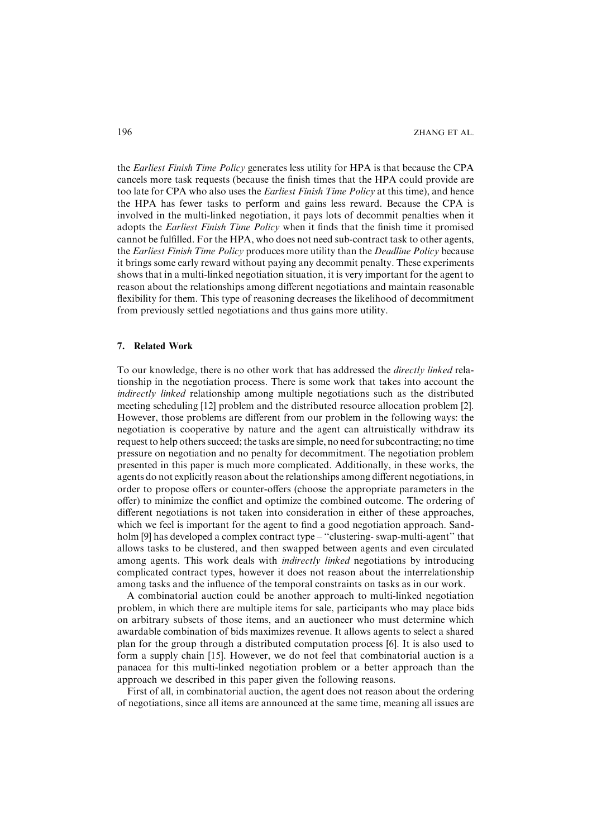the Earliest Finish Time Policy generates less utility for HPA is that because the CPA cancels more task requests (because the finish times that the HPA could provide are too late for CPA who also uses the Earliest Finish Time Policy at this time), and hence the HPA has fewer tasks to perform and gains less reward. Because the CPA is involved in the multi-linked negotiation, it pays lots of decommit penalties when it adopts the Earliest Finish Time Policy when it finds that the finish time it promised cannot be fulfilled. For the HPA, who does not need sub-contract task to other agents, the Earliest Finish Time Policy produces more utility than the Deadline Policy because it brings some early reward without paying any decommit penalty. These experiments shows that in a multi-linked negotiation situation, it is very important for the agent to reason about the relationships among different negotiations and maintain reasonable flexibility for them. This type of reasoning decreases the likelihood of decommitment from previously settled negotiations and thus gains more utility.

### 7. Related Work

To our knowledge, there is no other work that has addressed the directly linked relationship in the negotiation process. There is some work that takes into account the indirectly linked relationship among multiple negotiations such as the distributed meeting scheduling [12] problem and the distributed resource allocation problem [2]. However, those problems are different from our problem in the following ways: the negotiation is cooperative by nature and the agent can altruistically withdraw its request to help others succeed; the tasks are simple, no need for subcontracting; no time pressure on negotiation and no penalty for decommitment. The negotiation problem presented in this paper is much more complicated. Additionally, in these works, the agents do not explicitly reason about the relationships among different negotiations, in order to propose offers or counter-offers (choose the appropriate parameters in the offer) to minimize the conflict and optimize the combined outcome. The ordering of different negotiations is not taken into consideration in either of these approaches, which we feel is important for the agent to find a good negotiation approach. Sandholm [9] has developed a complex contract type - "clustering- swap-multi-agent" that allows tasks to be clustered, and then swapped between agents and even circulated among agents. This work deals with *indirectly linked* negotiations by introducing complicated contract types, however it does not reason about the interrelationship among tasks and the influence of the temporal constraints on tasks as in our work.

A combinatorial auction could be another approach to multi-linked negotiation problem, in which there are multiple items for sale, participants who may place bids on arbitrary subsets of those items, and an auctioneer who must determine which awardable combination of bids maximizes revenue. It allows agents to select a shared plan for the group through a distributed computation process [6]. It is also used to form a supply chain [15]. However, we do not feel that combinatorial auction is a panacea for this multi-linked negotiation problem or a better approach than the approach we described in this paper given the following reasons.

First of all, in combinatorial auction, the agent does not reason about the ordering of negotiations, since all items are announced at the same time, meaning all issues are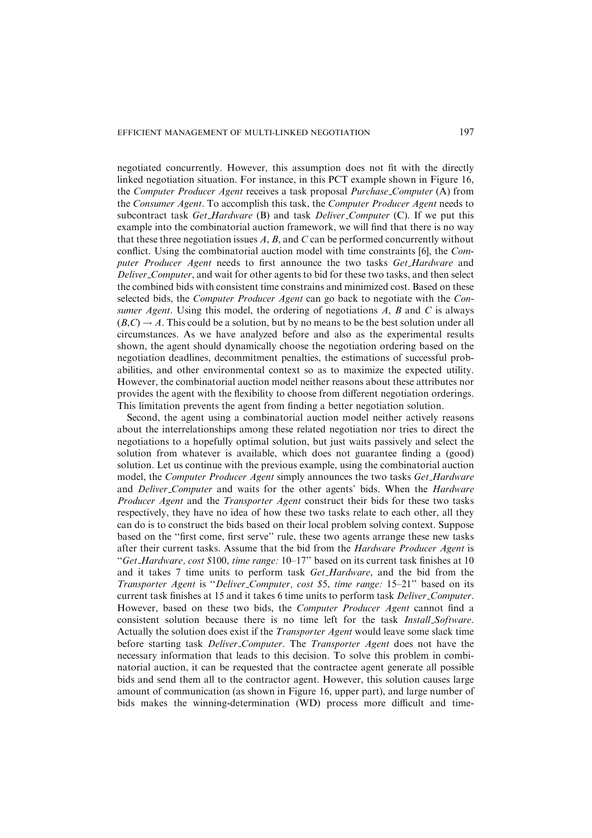negotiated concurrently. However, this assumption does not fit with the directly linked negotiation situation. For instance, in this PCT example shown in Figure 16, the Computer Producer Agent receives a task proposal Purchase Computer (A) from the Consumer Agent. To accomplish this task, the Computer Producer Agent needs to subcontract task  $Get\_Hardware$  (B) and task *Deliver\_Computer* (C). If we put this example into the combinatorial auction framework, we will find that there is no way that these three negotiation issues  $A$ ,  $B$ , and  $C$  can be performed concurrently without conflict. Using the combinatorial auction model with time constraints [6], the Computer Producer Agent needs to first announce the two tasks Get\_Hardware and Deliver Computer, and wait for other agents to bid for these two tasks, and then select the combined bids with consistent time constrains and minimized cost. Based on these selected bids, the Computer Producer Agent can go back to negotiate with the Consumer Agent. Using this model, the ordering of negotiations  $A$ ,  $B$  and  $C$  is always  $(B,C) \rightarrow A$ . This could be a solution, but by no means to be the best solution under all circumstances. As we have analyzed before and also as the experimental results shown, the agent should dynamically choose the negotiation ordering based on the negotiation deadlines, decommitment penalties, the estimations of successful probabilities, and other environmental context so as to maximize the expected utility. However, the combinatorial auction model neither reasons about these attributes nor provides the agent with the flexibility to choose from different negotiation orderings. This limitation prevents the agent from finding a better negotiation solution.

Second, the agent using a combinatorial auction model neither actively reasons about the interrelationships among these related negotiation nor tries to direct the negotiations to a hopefully optimal solution, but just waits passively and select the solution from whatever is available, which does not guarantee finding a (good) solution. Let us continue with the previous example, using the combinatorial auction model, the Computer Producer Agent simply announces the two tasks Get\_Hardware and *Deliver\_Computer* and waits for the other agents' bids. When the *Hardware* Producer Agent and the Transporter Agent construct their bids for these two tasks respectively, they have no idea of how these two tasks relate to each other, all they can do is to construct the bids based on their local problem solving context. Suppose based on the ''first come, first serve'' rule, these two agents arrange these new tasks after their current tasks. Assume that the bid from the Hardware Producer Agent is ''Get Hardware, cost \$100, time range: 10–17'' based on its current task finishes at 10 and it takes 7 time units to perform task Get\_Hardware, and the bid from the Transporter Agent is ''Deliver Computer, cost \$5, time range: 15–21'' based on its current task finishes at 15 and it takes 6 time units to perform task Deliver Computer. However, based on these two bids, the Computer Producer Agent cannot find a consistent solution because there is no time left for the task Install Software. Actually the solution does exist if the Transporter Agent would leave some slack time before starting task *Deliver\_Computer*. The *Transporter Agent* does not have the necessary information that leads to this decision. To solve this problem in combinatorial auction, it can be requested that the contractee agent generate all possible bids and send them all to the contractor agent. However, this solution causes large amount of communication (as shown in Figure 16, upper part), and large number of bids makes the winning-determination (WD) process more difficult and time-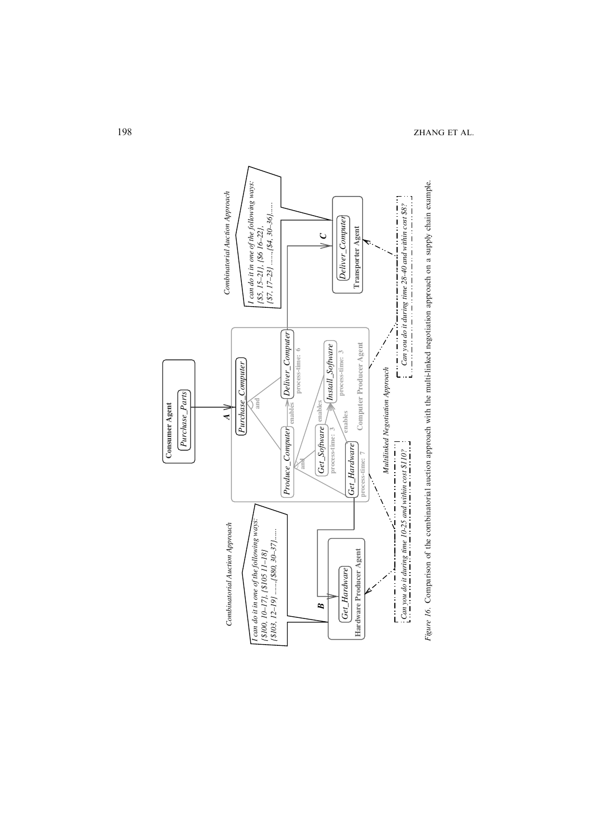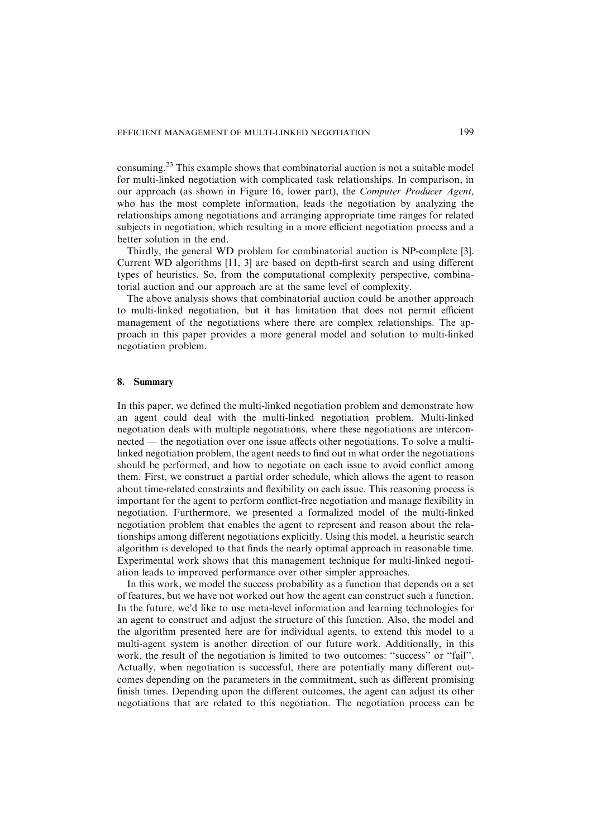consuming.<sup>23</sup> This example shows that combinatorial auction is not a suitable model for multi-linked negotiation with complicated task relationships. In comparison, in our approach (as shown in Figure 16, lower part), the Computer Producer Agent, who has the most complete information, leads the negotiation by analyzing the relationships among negotiations and arranging appropriate time ranges for related subjects in negotiation, which resulting in a more efficient negotiation process and a better solution in the end.

Thirdly, the general WD problem for combinatorial auction is NP-complete [3]. Current WD algorithms [11, 3] are based on depth-first search and using different types of heuristics. So, from the computational complexity perspective, combinatorial auction and our approach are at the same level of complexity.

The above analysis shows that combinatorial auction could be another approach to multi-linked negotiation, but it has limitation that does not permit efficient management of the negotiations where there are complex relationships. The approach in this paper provides a more general model and solution to multi-linked negotiation problem.

### 8. Summary

In this paper, we defined the multi-linked negotiation problem and demonstrate how an agent could deal with the multi-linked negotiation problem. Multi-linked negotiation deals with multiple negotiations, where these negotiations are interconnected — the negotiation over one issue affects other negotiations. To solve a multilinked negotiation problem, the agent needs to find out in what order the negotiations should be performed, and how to negotiate on each issue to avoid conflict among them. First, we construct a partial order schedule, which allows the agent to reason about time-related constraints and flexibility on each issue. This reasoning process is important for the agent to perform conflict-free negotiation and manage flexibility in negotiation. Furthermore, we presented a formalized model of the multi-linked negotiation problem that enables the agent to represent and reason about the relationships among different negotiations explicitly. Using this model, a heuristic search algorithm is developed to that finds the nearly optimal approach in reasonable time. Experimental work shows that this management technique for multi-linked negotiation leads to improved performance over other simpler approaches.

In this work, we model the success probability as a function that depends on a set of features, but we have not worked out how the agent can construct such a function. In the future, we'd like to use meta-level information and learning technologies for an agent to construct and adjust the structure of this function. Also, the model and the algorithm presented here are for individual agents, to extend this model to a multi-agent system is another direction of our future work. Additionally, in this work, the result of the negotiation is limited to two outcomes: ''success'' or ''fail''. Actually, when negotiation is successful, there are potentially many different outcomes depending on the parameters in the commitment, such as different promising finish times. Depending upon the different outcomes, the agent can adjust its other negotiations that are related to this negotiation. The negotiation process can be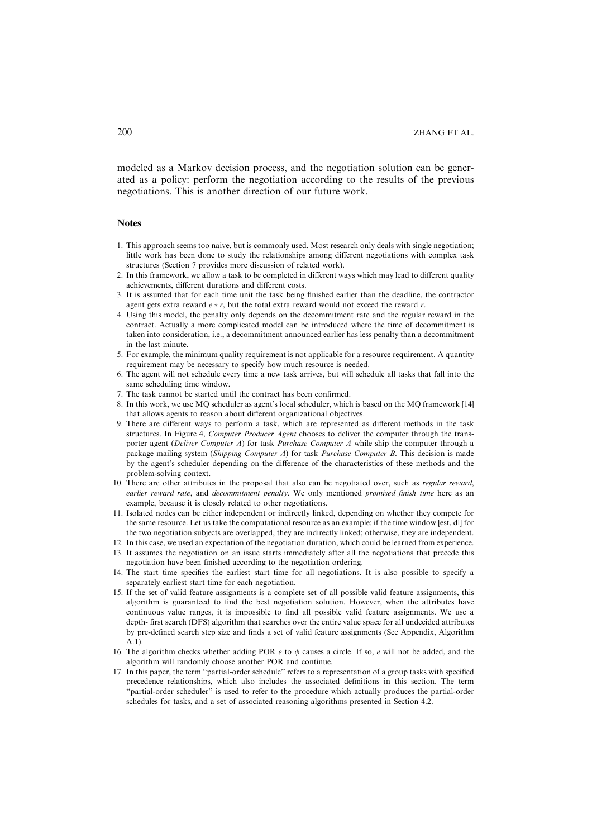modeled as a Markov decision process, and the negotiation solution can be generated as a policy: perform the negotiation according to the results of the previous negotiations. This is another direction of our future work.

#### Notes

- 1. This approach seems too naive, but is commonly used. Most research only deals with single negotiation; little work has been done to study the relationships among different negotiations with complex task structures (Section 7 provides more discussion of related work).
- 2. In this framework, we allow a task to be completed in different ways which may lead to different quality achievements, different durations and different costs.
- 3. It is assumed that for each time unit the task being finished earlier than the deadline, the contractor agent gets extra reward  $e * r$ , but the total extra reward would not exceed the reward r.
- 4. Using this model, the penalty only depends on the decommitment rate and the regular reward in the contract. Actually a more complicated model can be introduced where the time of decommitment is taken into consideration, i.e., a decommitment announced earlier has less penalty than a decommitment in the last minute.
- 5. For example, the minimum quality requirement is not applicable for a resource requirement. A quantity requirement may be necessary to specify how much resource is needed.
- 6. The agent will not schedule every time a new task arrives, but will schedule all tasks that fall into the same scheduling time window.
- 7. The task cannot be started until the contract has been confirmed.
- 8. In this work, we use MQ scheduler as agent's local scheduler, which is based on the MQ framework [14] that allows agents to reason about different organizational objectives.
- 9. There are different ways to perform a task, which are represented as different methods in the task structures. In Figure 4, Computer Producer Agent chooses to deliver the computer through the transporter agent (Deliver Computer A) for task Purchase Computer A while ship the computer through a package mailing system (Shipping Computer A) for task *Purchase Computer B*. This decision is made by the agent's scheduler depending on the difference of the characteristics of these methods and the problem-solving context.
- 10. There are other attributes in the proposal that also can be negotiated over, such as regular reward, earlier reward rate, and decommitment penalty. We only mentioned promised finish time here as an example, because it is closely related to other negotiations.
- 11. Isolated nodes can be either independent or indirectly linked, depending on whether they compete for the same resource. Let us take the computational resource as an example: if the time window [est, dl] for the two negotiation subjects are overlapped, they are indirectly linked; otherwise, they are independent.
- 12. In this case, we used an expectation of the negotiation duration, which could be learned from experience.
- 13. It assumes the negotiation on an issue starts immediately after all the negotiations that precede this negotiation have been finished according to the negotiation ordering.
- 14. The start time specifies the earliest start time for all negotiations. It is also possible to specify a separately earliest start time for each negotiation.
- 15. If the set of valid feature assignments is a complete set of all possible valid feature assignments, this algorithm is guaranteed to find the best negotiation solution. However, when the attributes have continuous value ranges, it is impossible to find all possible valid feature assignments. We use a depth- first search (DFS) algorithm that searches over the entire value space for all undecided attributes by pre-defined search step size and finds a set of valid feature assignments (See Appendix, Algorithm A.1).
- 16. The algorithm checks whether adding POR  $e$  to  $\phi$  causes a circle. If so, e will not be added, and the algorithm will randomly choose another POR and continue.
- 17. In this paper, the term ''partial-order schedule'' refers to a representation of a group tasks with specified precedence relationships, which also includes the associated definitions in this section. The term ''partial-order scheduler'' is used to refer to the procedure which actually produces the partial-order schedules for tasks, and a set of associated reasoning algorithms presented in Section 4.2.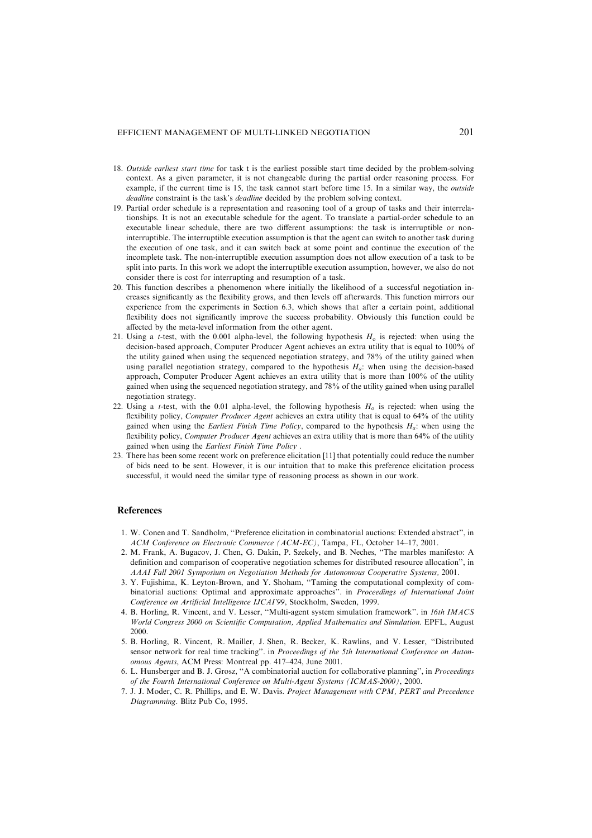### EFFICIENT MANAGEMENT OF MULTI-LINKED NEGOTIATION 201

- 18. Outside earliest start time for task t is the earliest possible start time decided by the problem-solving context. As a given parameter, it is not changeable during the partial order reasoning process. For example, if the current time is 15, the task cannot start before time 15. In a similar way, the *outside* deadline constraint is the task's deadline decided by the problem solving context.
- 19. Partial order schedule is a representation and reasoning tool of a group of tasks and their interrelationships. It is not an executable schedule for the agent. To translate a partial-order schedule to an executable linear schedule, there are two different assumptions: the task is interruptible or noninterruptible. The interruptible execution assumption is that the agent can switch to another task during the execution of one task, and it can switch back at some point and continue the execution of the incomplete task. The non-interruptible execution assumption does not allow execution of a task to be split into parts. In this work we adopt the interruptible execution assumption, however, we also do not consider there is cost for interrupting and resumption of a task.
- 20. This function describes a phenomenon where initially the likelihood of a successful negotiation increases significantly as the flexibility grows, and then levels off afterwards. This function mirrors our experience from the experiments in Section 6.3, which shows that after a certain point, additional flexibility does not significantly improve the success probability. Obviously this function could be affected by the meta-level information from the other agent.
- 21. Using a t-test, with the 0.001 alpha-level, the following hypothesis  $H_0$  is rejected: when using the decision-based approach, Computer Producer Agent achieves an extra utility that is equal to 100% of the utility gained when using the sequenced negotiation strategy, and 78% of the utility gained when using parallel negotiation strategy, compared to the hypothesis  $H_a$ : when using the decision-based approach, Computer Producer Agent achieves an extra utility that is more than 100% of the utility gained when using the sequenced negotiation strategy, and 78% of the utility gained when using parallel negotiation strategy.
- 22. Using a t-test, with the 0.01 alpha-level, the following hypothesis  $H_0$  is rejected: when using the flexibility policy, *Computer Producer Agent* achieves an extra utility that is equal to 64% of the utility gained when using the Earliest Finish Time Policy, compared to the hypothesis  $H_a$ : when using the flexibility policy, *Computer Producer Agent* achieves an extra utility that is more than 64% of the utility gained when using the Earliest Finish Time Policy .
- 23. There has been some recent work on preference elicitation [11] that potentially could reduce the number of bids need to be sent. However, it is our intuition that to make this preference elicitation process successful, it would need the similar type of reasoning process as shown in our work.

### **References**

- 1. W. Conen and T. Sandholm, ''Preference elicitation in combinatorial auctions: Extended abstract'', in ACM Conference on Electronic Commerce (ACM-EC), Tampa, FL, October 14–17, 2001.
- 2. M. Frank, A. Bugacov, J. Chen, G. Dakin, P. Szekely, and B. Neches, ''The marbles manifesto: A definition and comparison of cooperative negotiation schemes for distributed resource allocation'', in AAAI Fall 2001 Symposium on Negotiation Methods for Autonomous Cooperative Systems, 2001.
- 3. Y. Fujishima, K. Leyton-Brown, and Y. Shoham, ''Taming the computational complexity of combinatorial auctions: Optimal and approximate approaches". in *Proceedings of International Joint* Conference on Artificial Intelligence IJCAI'99, Stockholm, Sweden, 1999.
- 4. B. Horling, R. Vincent, and V. Lesser, ''Multi-agent system simulation framework''. in 16th IMACS World Congress 2000 on Scientific Computation, Applied Mathematics and Simulation. EPFL, August 2000.
- 5. B. Horling, R. Vincent, R. Mailler, J. Shen, R. Becker, K. Rawlins, and V. Lesser, ''Distributed sensor network for real time tracking". in Proceedings of the 5th International Conference on Autonomous Agents, ACM Press: Montreal pp. 417–424, June 2001.
- 6. L. Hunsberger and B. J. Grosz, ''A combinatorial auction for collaborative planning'', in Proceedings of the Fourth International Conference on Multi-Agent Systems (ICMAS-2000), 2000.
- 7. J. J. Moder, C. R. Phillips, and E. W. Davis. Project Management with CPM, PERT and Precedence Diagramming. Blitz Pub Co, 1995.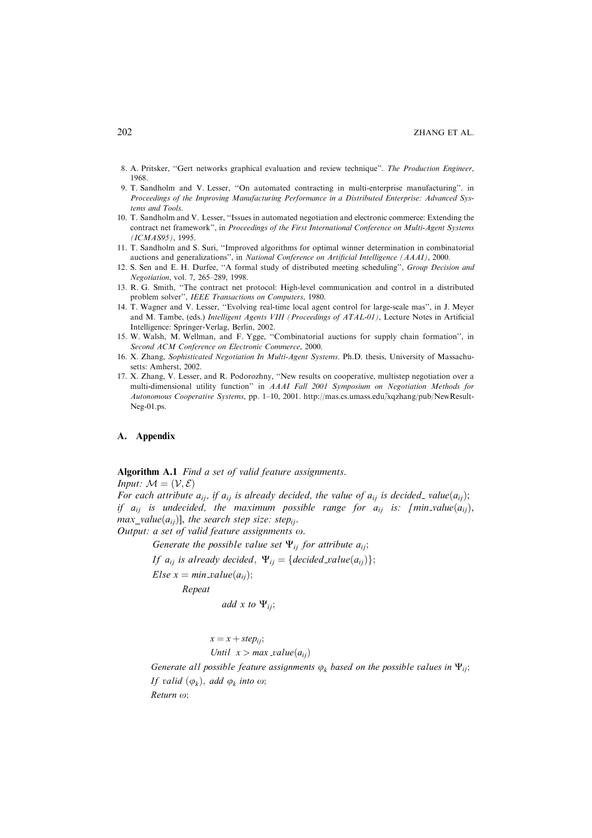- 8. A. Pritsker, ''Gert networks graphical evaluation and review technique''. The Production Engineer, 1968.
- 9. T. Sandholm and V. Lesser, ''On automated contracting in multi-enterprise manufacturing''. in Proceedings of the Improving Manufacturing Performance in a Distributed Enterprise: Advanced Systems and Tools.
- 10. T. Sandholm and V. Lesser, ''Issues in automated negotiation and electronic commerce: Extending the contract net framework'', in Proceedings of the First International Conference on Multi-Agent Systems (ICMAS95), 1995.
- 11. T. Sandholm and S. Suri, ''Improved algorithms for optimal winner determination in combinatorial auctions and generalizations'', in National Conference on Artificial Intelligence (AAAI), 2000.
- 12. S. Sen and E. H. Durfee, "A formal study of distributed meeting scheduling", Group Decision and Negotiation, vol. 7, 265–289, 1998.
- 13. R. G. Smith, ''The contract net protocol: High-level communication and control in a distributed problem solver'', IEEE Transactions on Computers, 1980.
- 14. T. Wagner and V. Lesser, ''Evolving real-time local agent control for large-scale mas'', in J. Meyer and M. Tambe, (eds.) Intelligent Agents VIII (Proceedings of ATAL-01), Lecture Notes in Artificial Intelligence: Springer-Verlag, Berlin, 2002.
- 15. W. Walsh, M. Wellman, and F. Ygge, ''Combinatorial auctions for supply chain formation'', in Second ACM Conference on Electronic Commerce, 2000.
- 16. X. Zhang, Sophisticated Negotiation In Multi-Agent Systems. Ph.D. thesis, University of Massachusetts: Amherst, 2002.
- 17. X. Zhang, V. Lesser, and R. Podorozhny, ''New results on cooperative, multistep negotiation over a multi-dimensional utility function" in AAAI Fall 2001 Symposium on Negotiation Methods for Autonomous Cooperative Systems, pp. 1-10, 2001. http://mas.cs.umass.edu/xqzhang/pub/NewResult-Neg-01.ps.

### A. Appendix

Algorithm A.1 Find a set of valid feature assignments. Input:  $\mathcal{M} = (\mathcal{V}, \mathcal{E})$ 

For each attribute  $a_{ii}$ , if  $a_{ii}$  is already decided, the value of  $a_{ii}$  is decided value $(a_{ii})$ ; if  $a_{ii}$  is undecided, the maximum possible range for  $a_{ii}$  is: [min\_value $(a_{ii})$ , max\_value $(a_{ij})$ ], the search step size: step<sub>ij</sub>.

Output: a set of valid feature assignments  $\omega$ .

Generate the possible value set  $\Psi_{ii}$  for attribute  $a_{ii}$ ;

If  $a_{ij}$  is already decided,  $\Psi_{ij} = \{ \text{decided\_value}(a_{ij}) \};$ 

Else  $x = min\_value(a_{ij});$ 

Repeat

add x to  $\Psi_{ii}$ ;

$$
x = x + step_{ij};
$$
  
Until  $x > max\_value(a_{ij})$ 

Generate all possible feature assignments  $\varphi_k$  based on the possible values in  $\Psi_{ij}$ ; If valid  $(\varphi_k)$ , add  $\varphi_k$  into  $\omega$ ;  $Return \omega$ ;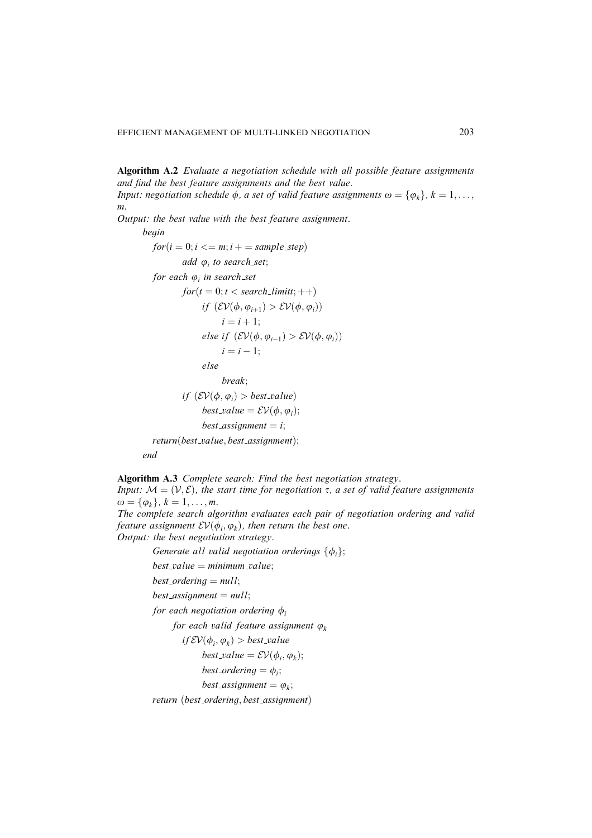Algorithm A.2 Evaluate a negotiation schedule with all possible feature assignments and find the best feature assignments and the best value. Input: negotiation schedule  $\phi$ , a set of valid feature assignments  $\omega = {\varphi_k}$ ,  $k = 1, \ldots,$ m.

Output: the best value with the best feature assignment.

begin  $for (i = 0; i <= m; i += sample\_step)$ add  $\varphi$ , to search\_set; for each  $\varphi_i$  in search set  $for(t = 0; t < search\_limit; ++)$ if  $(\mathcal{EV}(\phi, \varphi_{i+1}) > \mathcal{EV}(\phi, \varphi_i))$  $i = i + 1;$ else if  $(\mathcal{EV}(\phi, \varphi_{i-1}) > \mathcal{EV}(\phi, \varphi_i))$  $i = i - 1;$ else break; if  $(\mathcal{EV}(\phi, \varphi_i) > best_value)$ best value =  $\mathcal{EV}(\phi, \varphi_i);$ best\_assignment =  $i$ ;  $return (best_value, best\_assignment);$ end

Algorithm A.3 Complete search: Find the best negotiation strategy. Input:  $M = (V, \mathcal{E})$ , the start time for negotiation  $\tau$ , a set of valid feature assignments  $\omega = {\varphi_k}, k = 1, \ldots, m.$ 

The complete search algorithm evaluates each pair of negotiation ordering and valid feature assignment  $\mathcal{EV}(\phi_i, \varphi_k)$ , then return the best one.

Output: the best negotiation strategy.

Generate all valid negotiation orderings  $\{\phi_i\};$ 

 $best\_value = minimum\_value;$ 

best ordering  $= null;$ 

 $best\_assignment = null;$ 

for each negotiation ordering  $\phi_i$ 

for each valid feature assignment  $\varphi_k$ 

 $if$   $\mathcal{EV}(\phi_i, \phi_k)$  > best\_value

best\_value =  $\mathcal{EV}(\phi_i, \varphi_k);$ 

best ordering  $= \phi_i$ ;

$$
best\_assignment = \varphi_k;
$$

return (best<mark>\_</mark>ordering<sub>,</sub> best\_assignment)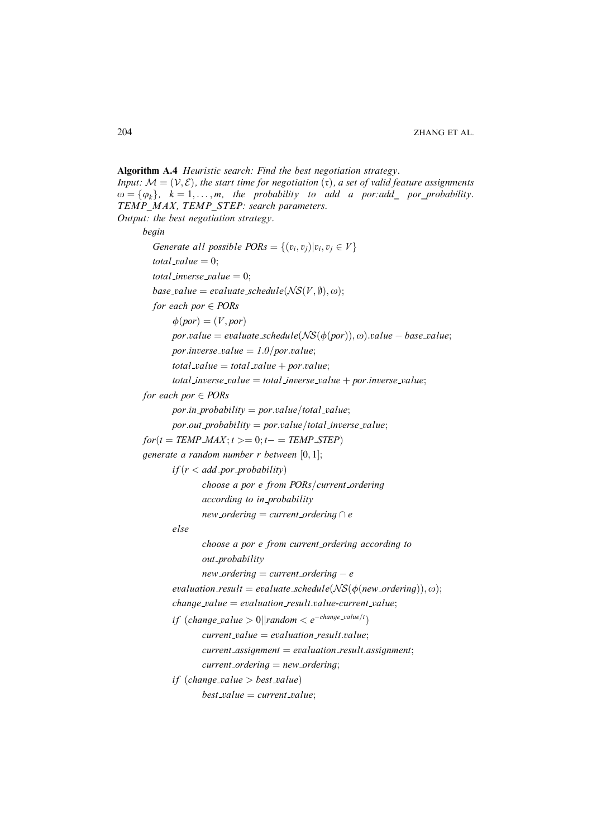```
Algorithm A.4 Heuristic search: Find the best negotiation strategy.
Input: M = (V, \mathcal{E}), the start time for negotiation (\tau), a set of valid feature assignments
\omega = {\varphi_k}, k = 1, ..., m, the probability to add a por:add_ por_probability.
TEMP_MAX, TEMP_STEP: search parameters.
Output: the best negotiation strategy.
      begin
         Generate all possible PORs = \{(v_i, v_j)|v_i, v_j \in V\}total value = 0;
         total inverse value = 0;
         base_value = evaluate_schedule(\mathcal{NS}(V, \emptyset), \omega);
         for each por \in PORs
              \phi(por)=(V, por)por.value = evaluate\_schedule(\mathcal{NS}(\phi(por)), \omega).value - base\_value;por.inverse_value = 1.0/por.value;
              total_value = total_value + por.value;
              total inverse value = total inverse value + por inverse value;
      for each por \in PORs
              por.in_probability = por.value/total_value;
              por.out\_probability = por.value/total\_inverse\_value;for(t = TEMP\_MAX; t \geq 0; t = TEMP\_STEP)generate a random number r between [0, 1];
              if (r < add\_por\_probability)choose a por e from PORs/current ordering
                     according to in probability
                     new_ordering = current_ordering \cap e
              else
                     choose a por e from current ordering according to
                     out probability
                      new\_ordering = current\_ordering - eevaluation result = evaluate_schedule(NS(\phi(new-ordering)), \omega);change_value = evaluation\_result.value-current_value;if (change\_value > 0 \vert | random < e^{ - change\_value / t}\textit{current\_value} = \textit{evaluation\_result}.\textit{value};current\_assignment = evaluation\_result.assignment;current-ordering = new-ordering;if (change\_value > best\_value)best\_value = current\_value;
```